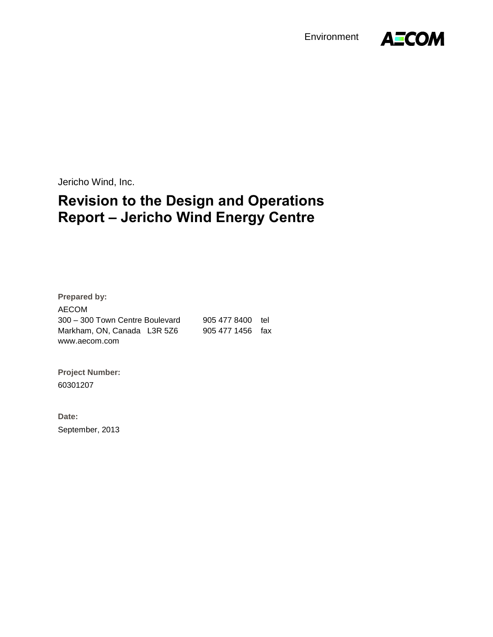Environment



Jericho Wind, Inc.

# **Revision to the Design and Operations Report – Jericho Wind Energy Centre**

**Prepared by:** AECOM 300 – 300 Town Centre Boulevard 905 477 8400 tel Markham, ON, Canada L3R 5Z6 905 477 1456 fax www.aecom.com

**Project Number:**  60301207

**Date:**  September, 2013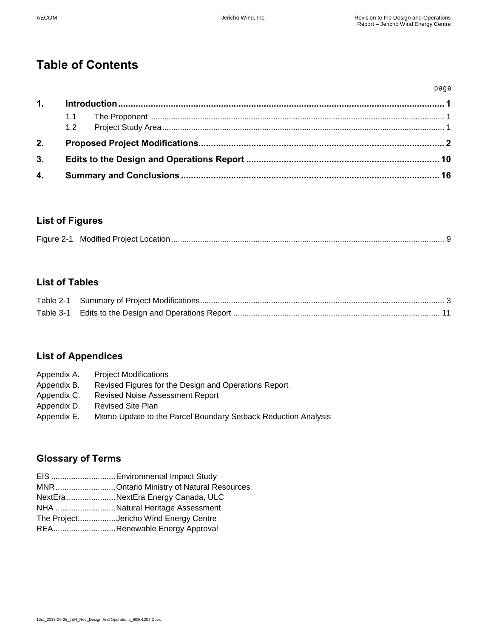page

# **Table of Contents**

| 1. |  |  |
|----|--|--|
|    |  |  |
| 2. |  |  |
| 3. |  |  |
| 4. |  |  |

# **List of Figures**

|--|--|--|

# **List of Tables**

# **List of Appendices**

| Appendix A. | <b>Project Modifications</b>                                  |
|-------------|---------------------------------------------------------------|
| Appendix B. | Revised Figures for the Design and Operations Report          |
| Appendix C. | <b>Revised Noise Assessment Report</b>                        |
| Appendix D. | <b>Revised Site Plan</b>                                      |
| Appendix E. | Memo Update to the Parcel Boundary Setback Reduction Analysis |

# **Glossary of Terms**

- EIS .............................Environmental Impact Study
- MNR...........................Ontario Ministry of Natural Resources
- NextEra ......................NextEra Energy Canada, ULC
- NHA ...........................Natural Heritage Assessment
- The Project.................Jericho Wind Energy Centre
- REA............................Renewable Energy Approval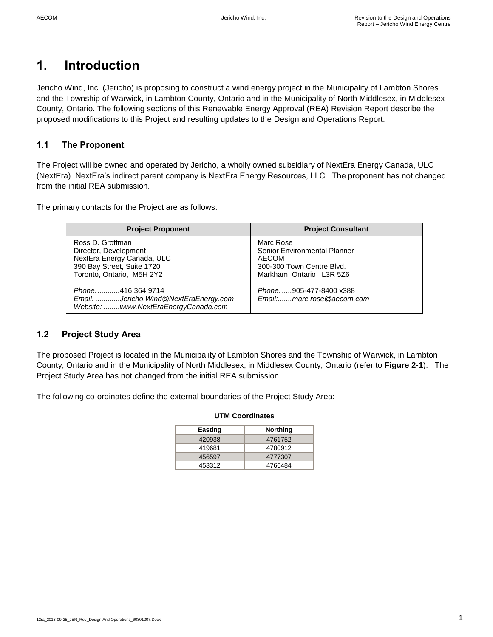# <span id="page-2-0"></span>**1. Introduction**

Jericho Wind, Inc. (Jericho) is proposing to construct a wind energy project in the Municipality of Lambton Shores and the Township of Warwick, in Lambton County, Ontario and in the Municipality of North Middlesex, in Middlesex County, Ontario. The following sections of this Renewable Energy Approval (REA) Revision Report describe the proposed modifications to this Project and resulting updates to the Design and Operations Report.

# <span id="page-2-1"></span>**1.1 The Proponent**

The Project will be owned and operated by Jericho, a wholly owned subsidiary of NextEra Energy Canada, ULC (NextEra). NextEra's indirect parent company is NextEra Energy Resources, LLC. The proponent has not changed from the initial REA submission.

The primary contacts for the Project are as follows:

| <b>Project Proponent</b>                                                                                                           | <b>Project Consultant</b>                                                                                   |
|------------------------------------------------------------------------------------------------------------------------------------|-------------------------------------------------------------------------------------------------------------|
| Ross D. Groffman<br>Director, Development<br>NextEra Energy Canada, ULC<br>390 Bay Street, Suite 1720<br>Toronto, Ontario, M5H 2Y2 | Marc Rose<br>Senior Environmental Planner<br>AECOM<br>300-300 Town Centre Blvd.<br>Markham, Ontario L3R 5Z6 |
| Phone:416.364.9714<br>Email: Jericho.Wind@NextEraEnergy.com<br>Website:  www.NextEraEnergyCanada.com                               | Phone: 905-477-8400 x388<br>Email:marc.rose@aecom.com                                                       |

# <span id="page-2-2"></span>**1.2 Project Study Area**

The proposed Project is located in the Municipality of Lambton Shores and the Township of Warwick, in Lambton County, Ontario and in the Municipality of North Middlesex, in Middlesex County, Ontario (refer to **Figure 2-1**). The Project Study Area has not changed from the initial REA submission.

The following co-ordinates define the external boundaries of the Project Study Area:

| <b>UTM Coordinates</b> |          |  |  |
|------------------------|----------|--|--|
| <b>Easting</b>         | Northing |  |  |
| 420938                 | 4761752  |  |  |
| 419681                 | 4780912  |  |  |
| 456597                 | 4777307  |  |  |
| 453312                 | 4766484  |  |  |

### 12ra\_2013-09-25\_JER\_Rev\_Design And Operations\_60301207.Docx 1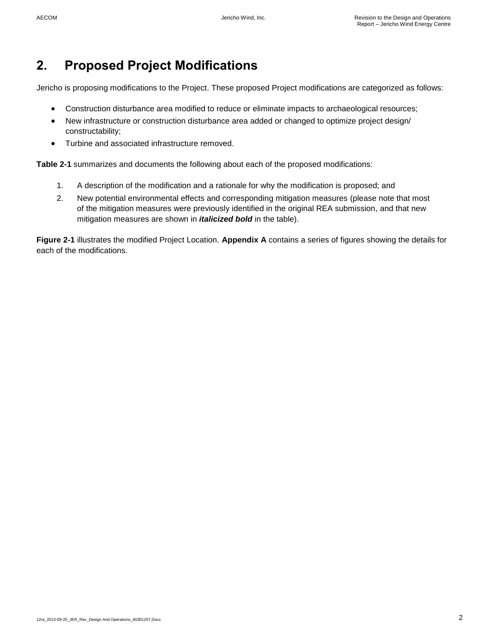# <span id="page-3-0"></span>**2. Proposed Project Modifications**

Jericho is proposing modifications to the Project. These proposed Project modifications are categorized as follows:

- Construction disturbance area modified to reduce or eliminate impacts to archaeological resources;
- New infrastructure or construction disturbance area added or changed to optimize project design/ constructability;
- Turbine and associated infrastructure removed.

**Table 2-1** summarizes and documents the following about each of the proposed modifications:

- 1. A description of the modification and a rationale for why the modification is proposed; and
- 2. New potential environmental effects and corresponding mitigation measures (please note that most of the mitigation measures were previously identified in the original REA submission, and that new mitigation measures are shown in *italicized bold* in the table).

**Figure 2-1** illustrates the modified Project Location. **Appendix A** contains a series of figures showing the details for each of the modifications.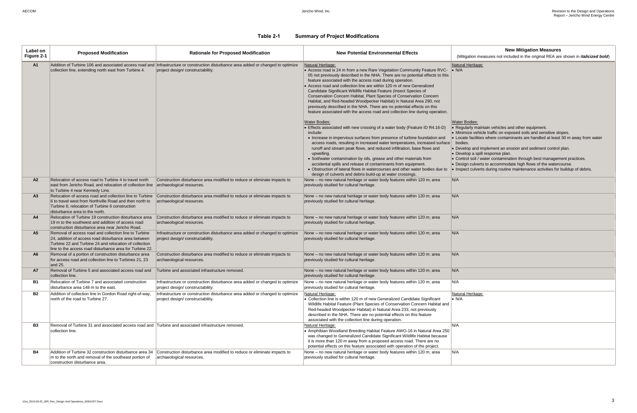| <b>New Mitigation Measures</b>                                                                              |
|-------------------------------------------------------------------------------------------------------------|
| (Mitigation measures not included in the original REA are shown in <i>italicized bold</i> )                 |
| <b>Natural Heritage:</b>                                                                                    |
| $\bullet$ N/A                                                                                               |
|                                                                                                             |
|                                                                                                             |
|                                                                                                             |
|                                                                                                             |
|                                                                                                             |
|                                                                                                             |
|                                                                                                             |
| Water Bodies:<br>• Regularly maintain vehicles and other equipment.                                         |
| • Minimize vehicle traffic on exposed soils and sensitive slopes.                                           |
| • Locate facilities where contaminants are handled at least 30 m away from water                            |
| bodies.                                                                                                     |
| • Develop and implement an erosion and sediment control plan.                                               |
| · Develop a spill response plan.<br>• Control soil / water contamination through best management practices. |
| • Design culverts to accommodate high flows of the watercourse.                                             |
| • Inspect culverts during routine maintenance activities for buildup of debris.                             |
| N/A                                                                                                         |
|                                                                                                             |
|                                                                                                             |
| N/A                                                                                                         |
|                                                                                                             |
|                                                                                                             |
| N/A                                                                                                         |
|                                                                                                             |
| N/A                                                                                                         |
|                                                                                                             |
|                                                                                                             |
| N/A                                                                                                         |
|                                                                                                             |
|                                                                                                             |
| N/A                                                                                                         |
| N/A                                                                                                         |
|                                                                                                             |
| Natural Heritage:                                                                                           |
| $\bullet$ N/A                                                                                               |
|                                                                                                             |
|                                                                                                             |
|                                                                                                             |
| N/A                                                                                                         |
|                                                                                                             |
|                                                                                                             |
|                                                                                                             |
| N/A                                                                                                         |
|                                                                                                             |
|                                                                                                             |

# **Table 2-1 Summary of Project Modifications**

<span id="page-4-0"></span>

| Label on<br>Figure 2-1 | <b>Proposed Modification</b>                                                                                                                                                                                                        | <b>Rationale for Proposed Modification</b>                                                                                                                              | <b>New Potential Environmental Effects</b>                                                                                                                                                                                                                                                                                                                                                                                                                                                                                                                                                                                                                                                         | <b>New Mitigation Measures</b><br>(Mitigation measures not included in the original REA are                                                                                                                                                                                                                                                                                                                                                                                                                    |
|------------------------|-------------------------------------------------------------------------------------------------------------------------------------------------------------------------------------------------------------------------------------|-------------------------------------------------------------------------------------------------------------------------------------------------------------------------|----------------------------------------------------------------------------------------------------------------------------------------------------------------------------------------------------------------------------------------------------------------------------------------------------------------------------------------------------------------------------------------------------------------------------------------------------------------------------------------------------------------------------------------------------------------------------------------------------------------------------------------------------------------------------------------------------|----------------------------------------------------------------------------------------------------------------------------------------------------------------------------------------------------------------------------------------------------------------------------------------------------------------------------------------------------------------------------------------------------------------------------------------------------------------------------------------------------------------|
| A1                     | collection line, extending north east from Turbine 4.                                                                                                                                                                               | Addition of Turbine 106 and associated access road and Infrastructure or construction disturbance area added or changed to optimize<br>project design/constructability. | Natural Heritage:<br>• Access road is 24 m from a new Rare Vegetation Community Feature RVC-<br>05 not previously described in the NHA. There are no potential effects to this<br>feature associated with the access road during operation.<br>Access road and collection line are within 120 m of new Generalized<br>Candidate Significant Wildlife Habitat Feature (Insect Species of<br>Conservation Concern Habitat, Plant Species of Conservation Concern<br>Habitat, and Red-headed Woodpecker Habitat) in Natural Area 290, not<br>previously described in the NHA. There are no potential effects on this<br>feature associated with the access road and collection line during operation. | Natural Heritage:<br>$\bullet$ N/A                                                                                                                                                                                                                                                                                                                                                                                                                                                                             |
|                        |                                                                                                                                                                                                                                     |                                                                                                                                                                         | <b>Water Bodies:</b><br>• Effects associated with new crossing of a water body (Feature ID R4.16-D)<br>include:<br>• Increase in impervious surfaces from presence of turbine foundation and<br>access roads, resulting in increased water temperatures, increased surface<br>runoff and stream peak flows, and reduced infiltration, base flows and<br>upwelling.<br>· Soil/water contamination by oils, grease and other materials from<br>accidental spills and release of contaminants from equipment.<br>• Obstruction of lateral flows in watercourses and other water bodies due to<br>design of culverts and debris build-up at water crossings.                                           | <b>Water Bodies:</b><br>• Regularly maintain vehicles and other equipment.<br>• Minimize vehicle traffic on exposed soils and sensitive slo<br>• Locate facilities where contaminants are handled at least<br>bodies.<br>• Develop and implement an erosion and sediment control<br>• Develop a spill response plan.<br>• Control soil / water contamination through best managem<br>• Design culverts to accommodate high flows of the waterc<br>Inspect culverts during routine maintenance activities for I |
| A2                     | Relocation of access road to Turbine 4 to travel north<br>east from Jericho Road, and relocation of collection line<br>to Turbine 4 near Kennedy Line.                                                                              | Construction disturbance area modified to reduce or eliminate impacts to<br>archaeological resources.                                                                   | None – no new natural heritage or water body features within 120 m; area<br>previously studied for cultural heritage.                                                                                                                                                                                                                                                                                                                                                                                                                                                                                                                                                                              | N/A                                                                                                                                                                                                                                                                                                                                                                                                                                                                                                            |
| A <sub>3</sub>         | Relocation of access road and collection line to Turbine<br>6 to travel west from Northville Road and then north to<br>Turbine 6; relocation of Turbine 6 construction<br>disturbance area to the north.                            | Construction disturbance area modified to reduce or eliminate impacts to<br>archaeological resources.                                                                   | None – no new natural heritage or water body features within 120 m; area<br>previously studied for cultural heritage.                                                                                                                                                                                                                                                                                                                                                                                                                                                                                                                                                                              | N/A                                                                                                                                                                                                                                                                                                                                                                                                                                                                                                            |
| A4                     | Relocation of Turbine 19 construction disturbance area<br>19 m to the southwest and addition of access road<br>construction disturbance area near Jericho Road.                                                                     | Construction disturbance area modified to reduce or eliminate impacts to<br>archaeological resources.                                                                   | None - no new natural heritage or water body features within 120 m; area<br>previously studied for cultural heritage.                                                                                                                                                                                                                                                                                                                                                                                                                                                                                                                                                                              | N/A                                                                                                                                                                                                                                                                                                                                                                                                                                                                                                            |
| A <sub>5</sub>         | Removal of access road and collection line to Turbine<br>24, addition of access road disturbance area between<br>Turbine 22 and Turbine 24 and relocation of collection<br>line to the access road disturbance area for Turbine 22. | Infrastructure or construction disturbance area added or changed to optimize<br>project design/constructability.                                                        | None - no new natural heritage or water body features within 120 m; area<br>previously studied for cultural heritage.                                                                                                                                                                                                                                                                                                                                                                                                                                                                                                                                                                              | N/A                                                                                                                                                                                                                                                                                                                                                                                                                                                                                                            |
| A6                     | Removal of a portion of construction disturbance area<br>for access road and collection line to Turbines 21, 23<br>and 25.                                                                                                          | Construction disturbance area modified to reduce or eliminate impacts to<br>archaeological resources.                                                                   | None - no new natural heritage or water body features within 120 m; area<br>previously studied for cultural heritage.                                                                                                                                                                                                                                                                                                                                                                                                                                                                                                                                                                              | N/A                                                                                                                                                                                                                                                                                                                                                                                                                                                                                                            |
| A7                     | Removal of Turbine 5 and associated access road and<br>collection line.                                                                                                                                                             | Turbine and associated infrastructure removed.                                                                                                                          | None - no new natural heritage or water body features within 120 m; area<br>previously studied for cultural heritage.                                                                                                                                                                                                                                                                                                                                                                                                                                                                                                                                                                              | N/A                                                                                                                                                                                                                                                                                                                                                                                                                                                                                                            |
| <b>B1</b>              | Relocation of Turbine 7 and associated construction<br>disturbance area 148 m to the east.                                                                                                                                          | Infrastructure or construction disturbance area added or changed to optimize<br>project design/constructability.                                                        | None – no new natural heritage or water body features within 120 m; area<br>previously studied for cultural heritage.                                                                                                                                                                                                                                                                                                                                                                                                                                                                                                                                                                              | N/A                                                                                                                                                                                                                                                                                                                                                                                                                                                                                                            |
| <b>B2</b>              | Addition of collection line in Gordon Road right-of-way,<br>north of the road to Turbine 27.                                                                                                                                        | Infrastructure or construction disturbance area added or changed to optimize<br>project design/constructability.                                                        | Natural Heritage:<br>Collection line is within 120 m of new Generalized Candidate Significant<br>Wildlife Habitat Feature (Plant Species of Conservation Concern Habitat and<br>Red-headed Woodpecker Habitat) in Natural Area 233, not previously<br>described in the NHA. There are no potential effects on this feature<br>associated with the collection line during operation.                                                                                                                                                                                                                                                                                                                | Natural Heritage:<br>$\bullet$ N/A                                                                                                                                                                                                                                                                                                                                                                                                                                                                             |
| <b>B3</b>              | Removal of Turbine 31 and associated access road and Turbine and associated infrastructure removed.<br>collection line.                                                                                                             |                                                                                                                                                                         | Natural Heritage:<br>• Amphibian Woodland Breeding Habitat Feature AWO-16 in Natural Area 250<br>was changed to Generalized Candidate Significant Wildlife Habitat because<br>it is more than 120 m away from a proposed access road. There are no<br>potential effects on this feature associated with operation of the project.                                                                                                                                                                                                                                                                                                                                                                  | N/A                                                                                                                                                                                                                                                                                                                                                                                                                                                                                                            |
| <b>B4</b>              | Addition of Turbine 32 construction disturbance area 34<br>m to the north and removal of the southeast portion of<br>construction disturbance area.                                                                                 | Construction disturbance area modified to reduce or eliminate impacts to<br>archaeological resources.                                                                   | None – no new natural heritage or water body features within 120 m; area<br>previously studied for cultural heritage.                                                                                                                                                                                                                                                                                                                                                                                                                                                                                                                                                                              | N/A                                                                                                                                                                                                                                                                                                                                                                                                                                                                                                            |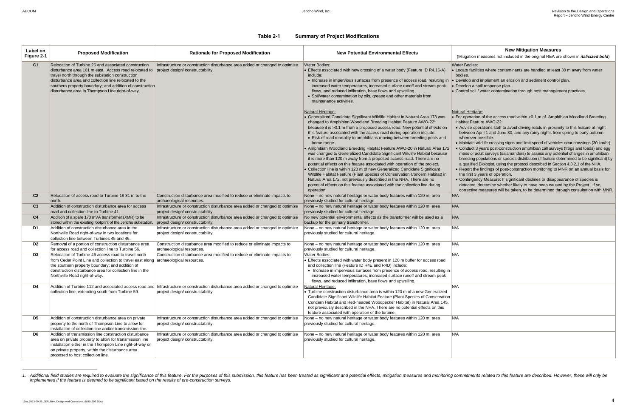(ation measures not included in the original REA are shown in *italicized bold*)

facilities where contaminants are handled at least 30 m away from water

pp and implement an erosion and sediment control plan.

ol soil / water contamination through best management practices.

eration of the access road within > 0.1 m of Amphibian Woodland Breeding t Feature AWO-22:

ise operations staff to avoid driving roads in proximity to this feature at night veen April 1 and June 30, and any rainy nights from spring to early autumn, rever possible.

htain wildlife crossing signs and limit speed of vehicles near crossings (30 km/hr). duct 3 years post-construction amphibian call surveys (frogs and toads) and egg s or adult surveys (salamanders) to assess any potential changes in amphibian eding populations or species distribution (if feature determined to be significant) by alified Biologist, using the protocol described in Section 4.3.2.1 of the NHA. ort the findings of post-construction monitoring to MNR on an annual basis for first 3 years of operation.

tingency Measure: If significant declines or disappearance of species is cted, determine whether likely to have been caused by the Project. If so, ective measures will be taken, to be determined through consultation with MNR.

l

### **Table 2-1 Summary of Project Modifications**

| Label on<br>Figure 2-1 | <b>Proposed Modification</b>                                                                                                                                                                                                                                                                                                              | <b>Rationale for Proposed Modification</b>                                                                                                                              | <b>New Potential Environmental Effects</b>                                                                                                                                                                                                                                                                                                                                                                                                                                                                                                                                                                                                                                                                                                                                                                                                                                                                                                                                                                                                                                   | <b>New Mitigation Measures</b><br>(Mitigation measures not included in the original REA are                                                                                                                                                                                                                                                                                                                                                                                                                                                                                                                                                                                                                                                                                                                                                                         |
|------------------------|-------------------------------------------------------------------------------------------------------------------------------------------------------------------------------------------------------------------------------------------------------------------------------------------------------------------------------------------|-------------------------------------------------------------------------------------------------------------------------------------------------------------------------|------------------------------------------------------------------------------------------------------------------------------------------------------------------------------------------------------------------------------------------------------------------------------------------------------------------------------------------------------------------------------------------------------------------------------------------------------------------------------------------------------------------------------------------------------------------------------------------------------------------------------------------------------------------------------------------------------------------------------------------------------------------------------------------------------------------------------------------------------------------------------------------------------------------------------------------------------------------------------------------------------------------------------------------------------------------------------|---------------------------------------------------------------------------------------------------------------------------------------------------------------------------------------------------------------------------------------------------------------------------------------------------------------------------------------------------------------------------------------------------------------------------------------------------------------------------------------------------------------------------------------------------------------------------------------------------------------------------------------------------------------------------------------------------------------------------------------------------------------------------------------------------------------------------------------------------------------------|
| C <sub>1</sub>         | Relocation of Turbine 26 and associated construction<br>disturbance area 101 m east. Access road relocated to<br>travel north through the substation construction<br>disturbance area and collection line relocated to the<br>southern property boundary; and addition of construction<br>disturbance area in Thompson Line right-of-way. | Infrastructure or construction disturbance area added or changed to optimize<br>project design/constructability.                                                        | <b>Water Bodies:</b><br>$\bullet$ Effects associated with new crossing of a water body (Feature ID R4.16-A)<br>include:<br>• Increase in impervious surfaces from presence of access road, resulting in<br>increased water temperatures, increased surface runoff and stream peak<br>flows, and reduced infiltration, base flows and upwelling.<br>• Soil/water contamination by oils, grease and other materials from<br>maintenance activities.                                                                                                                                                                                                                                                                                                                                                                                                                                                                                                                                                                                                                            | Water Bodies:<br>• Locate facilities where contaminants are handled at least<br>bodies.<br>• Develop and implement an erosion and sediment control<br>· Develop a spill response plan.<br>• Control soil / water contamination through best managem                                                                                                                                                                                                                                                                                                                                                                                                                                                                                                                                                                                                                 |
|                        |                                                                                                                                                                                                                                                                                                                                           |                                                                                                                                                                         | <b>Natural Heritage:</b><br>• Generalized Candidate Significant Wildlife Habitat in Natural Area 173 was<br>changed to Amphibian Woodland Breeding Habitat Feature AWO-22<br>because it is >0.1 m from a proposed access road. New potential effects on<br>this feature associated with the access road during operation include:<br>• Risk of road mortality to amphibians moving between breeding pools and<br>home range.<br>• Amphibian Woodland Breeding Habitat Feature AWO-20 in Natural Area 172<br>was changed to Generalized Candidate Significant Wildlife Habitat because<br>it is more than 120 m away from a proposed access road. There are no<br>potential effects on this feature associated with operation of the project.<br>Collection line is within 120 m of new Generalized Candidate Significant<br>Wildlife Habitat Feature (Plant Species of Conservation Concern Habitat) in<br>Natural Area 172, not previously described in the NHA. There are no<br>potential effects on this feature associated with the collection line during<br>operation. | Natural Heritage:<br>• For operation of the access road within >0.1 m of Amphil<br>Habitat Feature AWO-22:<br>• Advise operations staff to avoid driving roads in proximi<br>between April 1 and June 30, and any rainy nights from<br>wherever possible.<br>• Maintain wildlife crossing signs and limit speed of vehicle<br>Conduct 3 years post-construction amphibian call survey<br>mass or adult surveys (salamanders) to assess any pote<br>breeding populations or species distribution (if feature de<br>a qualified Biologist, using the protocol described in Sect<br>• Report the findings of post-construction monitoring to M<br>the first 3 years of operation.<br>Contingency Measure: If significant declines or disappe<br>detected, determine whether likely to have been cause<br>corrective measures will be taken, to be determined threatern |
| C <sub>2</sub>         | Relocation of access road to Turbine 18 31 m to the<br> north.                                                                                                                                                                                                                                                                            | Construction disturbance area modified to reduce or eliminate impacts to<br>archaeological resources.                                                                   | None – no new natural heritage or water body features within 120 m; area<br>previously studied for cultural heritage.                                                                                                                                                                                                                                                                                                                                                                                                                                                                                                                                                                                                                                                                                                                                                                                                                                                                                                                                                        | N/A                                                                                                                                                                                                                                                                                                                                                                                                                                                                                                                                                                                                                                                                                                                                                                                                                                                                 |
| C <sub>3</sub>         | Addition of construction disturbance area for access<br>road and collection line to Turbine 41.                                                                                                                                                                                                                                           | Infrastructure or construction disturbance area added or changed to optimize<br>project design/constructability.                                                        | None – no new natural heritage or water body features within 120 m; area<br>previously studied for cultural heritage.                                                                                                                                                                                                                                                                                                                                                                                                                                                                                                                                                                                                                                                                                                                                                                                                                                                                                                                                                        | N/A                                                                                                                                                                                                                                                                                                                                                                                                                                                                                                                                                                                                                                                                                                                                                                                                                                                                 |
| C <sub>4</sub>         | Addition of a spare 170 mVA transformer (XMR) to be<br>stored within the existing footprint of the Jericho substation.                                                                                                                                                                                                                    | Infrastructure or construction disturbance area added or changed to optimize<br>project design/constructability.                                                        | No new potential environmental effects as the transformer will be used as a<br>backup for the primary transformer.                                                                                                                                                                                                                                                                                                                                                                                                                                                                                                                                                                                                                                                                                                                                                                                                                                                                                                                                                           | N/A                                                                                                                                                                                                                                                                                                                                                                                                                                                                                                                                                                                                                                                                                                                                                                                                                                                                 |
| D1                     | Addition of construction disturbance area in the<br>Northville Road right-of-way in two locations for<br>collection line between Turbines 45 and 46.                                                                                                                                                                                      | Infrastructure or construction disturbance area added or changed to optimize<br>project design/constructability.                                                        | None – no new natural heritage or water body features within 120 m; area<br>previously studied for cultural heritage.                                                                                                                                                                                                                                                                                                                                                                                                                                                                                                                                                                                                                                                                                                                                                                                                                                                                                                                                                        | N/A                                                                                                                                                                                                                                                                                                                                                                                                                                                                                                                                                                                                                                                                                                                                                                                                                                                                 |
| D2                     | Removal of a portion of construction disturbance area<br>for access road and collection line to Turbine 56.                                                                                                                                                                                                                               | Construction disturbance area modified to reduce or eliminate impacts to<br>archaeological resources.                                                                   | None - no new natural heritage or water body features within 120 m; area<br>previously studied for cultural heritage.                                                                                                                                                                                                                                                                                                                                                                                                                                                                                                                                                                                                                                                                                                                                                                                                                                                                                                                                                        | N/A                                                                                                                                                                                                                                                                                                                                                                                                                                                                                                                                                                                                                                                                                                                                                                                                                                                                 |
| D3                     | Relocation of Turbine 46 access road to travel north<br>from Cedar Point Line and collection to travel east along archaeological resources.<br>the southern property boundary; and addition of<br>construction disturbance area for collection line in the<br>Northville Road right-of-way.                                               | Construction disturbance area modified to reduce or eliminate impacts to                                                                                                | <b>Water Bodies:</b><br>$\cdot$ Effects associated with water body present in 120 m buffer for access road<br>and collection line (Feature ID R4E and R4D) include:<br>• Increase in impervious surfaces from presence of access road, resulting in<br>increased water temperatures, increased surface runoff and stream peak<br>flows, and reduced infiltration, base flows and upwelling.                                                                                                                                                                                                                                                                                                                                                                                                                                                                                                                                                                                                                                                                                  | N/A                                                                                                                                                                                                                                                                                                                                                                                                                                                                                                                                                                                                                                                                                                                                                                                                                                                                 |
| D4                     | collection line, extending south from Turbine 59.                                                                                                                                                                                                                                                                                         | Addition of Turbine 112 and associated access road and Infrastructure or construction disturbance area added or changed to optimize<br>project design/constructability. | Natural Heritage:<br>• Turbine construction disturbance area is within 120 m of a new Generalized<br>Candidate Significant Wildlife Habitat Feature (Plant Species of Conservation<br>Concern Habitat and Red-headed Woodpecker Habitat) in Natural Area 145,<br>not previously described in the NHA. There are no potential effects on this<br>feature associated with operation of the turbine.                                                                                                                                                                                                                                                                                                                                                                                                                                                                                                                                                                                                                                                                            | N/A                                                                                                                                                                                                                                                                                                                                                                                                                                                                                                                                                                                                                                                                                                                                                                                                                                                                 |
| D5                     | Addition of construction disturbance area on private<br>property to the north of Thompson Line to allow for<br>installation of collection line and/or transmission line.                                                                                                                                                                  | Infrastructure or construction disturbance area added or changed to optimize<br>project design/constructability.                                                        | None – no new natural heritage or water body features within 120 m; area<br>previously studied for cultural heritage.                                                                                                                                                                                                                                                                                                                                                                                                                                                                                                                                                                                                                                                                                                                                                                                                                                                                                                                                                        | N/A                                                                                                                                                                                                                                                                                                                                                                                                                                                                                                                                                                                                                                                                                                                                                                                                                                                                 |
| D6                     | Addition of transmission line construction disturbance<br>area on private property to allow for transmission line<br>installation either in the Thompson Line right-of-way or<br>on private property, within the disturbance area<br>proposed to host collection line.                                                                    | Infrastructure or construction disturbance area added or changed to optimize<br>project design/constructability.                                                        | None - no new natural heritage or water body features within 120 m; area<br>previously studied for cultural heritage.                                                                                                                                                                                                                                                                                                                                                                                                                                                                                                                                                                                                                                                                                                                                                                                                                                                                                                                                                        | N/A                                                                                                                                                                                                                                                                                                                                                                                                                                                                                                                                                                                                                                                                                                                                                                                                                                                                 |

<sup>1.</sup> Additional field studies are required to evaluate the significance of this feature. For the purposes of this submission, this feature has been treated as significant and potential effects, mitigation measures and monito *implemented if the feature is deemed to be significant based on the results of pre-construction surveys.*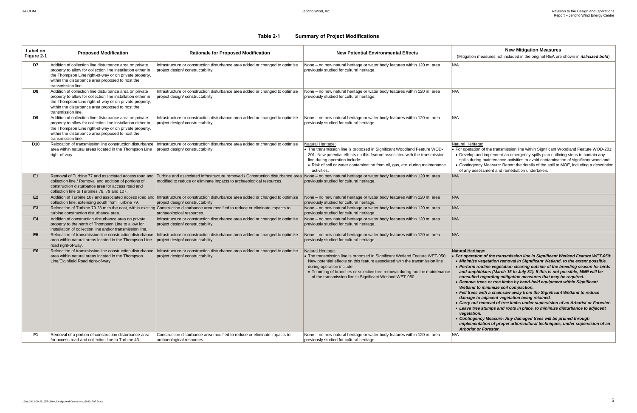(ation measures not included in the original REA are shown in *italicized bold*)

### Heritage:

**Deration of the transmission line within Significant Woodland Feature WOD-201:** relop and implement an emergency spills plan outlining steps to contain any ls during maintenance activities to avoid contamination of significant woodland. tingency Measure: Report the details of the spill to MOE, including a description ny assessment and remediation undertaken.

### **Heritage:**

### **Table 2-1 Summary of Project Modifications**

*field with a chainsaw away from the Significant Wetland to reduce damage to adjacent vegetation being retained.*

 *Carry out removal of tree limbs under supervision of an Arborist or Forester. Leave tree stumps and roots in place, to minimize disturbance to adjacent <u>etation.</u>* 

 *Contingency Measure: Any damaged trees will be pruned through implementation of proper arboricultural techniques, under supervision of an <u>Arborist</u> or Forester.* 

| Label on<br>Figure 2-1 | <b>Proposed Modification</b>                                                                                                                                                                                                                                | <b>Rationale for Proposed Modification</b>                                                                                                                                                                                                                                          | <b>New Potential Environmental Effects</b>                                                                                                                                                                                                                                                                                                              | <b>New Mitigation Measures</b><br>(Mitigation measures not included in the original REA are                                                                                                                                                                                                                                                                                                                                                                                                                                                                                                                                                                                                                                                                                                              |
|------------------------|-------------------------------------------------------------------------------------------------------------------------------------------------------------------------------------------------------------------------------------------------------------|-------------------------------------------------------------------------------------------------------------------------------------------------------------------------------------------------------------------------------------------------------------------------------------|---------------------------------------------------------------------------------------------------------------------------------------------------------------------------------------------------------------------------------------------------------------------------------------------------------------------------------------------------------|----------------------------------------------------------------------------------------------------------------------------------------------------------------------------------------------------------------------------------------------------------------------------------------------------------------------------------------------------------------------------------------------------------------------------------------------------------------------------------------------------------------------------------------------------------------------------------------------------------------------------------------------------------------------------------------------------------------------------------------------------------------------------------------------------------|
| D7                     | Addition of collection line disturbance area on private<br>property to allow for collection line installation either in<br>the Thompson Line right-of-way or on private property,<br>within the disturbance area proposed to host the<br>transmission line. | Infrastructure or construction disturbance area added or changed to optimize<br>project design/constructability.                                                                                                                                                                    | None - no new natural heritage or water body features within 120 m; area<br>previously studied for cultural heritage.                                                                                                                                                                                                                                   | N/A                                                                                                                                                                                                                                                                                                                                                                                                                                                                                                                                                                                                                                                                                                                                                                                                      |
| D8                     | Addition of collection line disturbance area on private<br>property to allow for collection line installation either in<br>the Thompson Line right-of-way or on private property,<br>within the disturbance area proposed to host the<br>transmission line. | Infrastructure or construction disturbance area added or changed to optimize<br>project design/constructability.                                                                                                                                                                    | None – no new natural heritage or water body features within 120 m; area<br>previously studied for cultural heritage.                                                                                                                                                                                                                                   | N/A                                                                                                                                                                                                                                                                                                                                                                                                                                                                                                                                                                                                                                                                                                                                                                                                      |
| D9                     | Addition of collection line disturbance area on private<br>property to allow for collection line installation either in<br>the Thompson Line right-of-way or on private property,<br>within the disturbance area proposed to host the<br>transmission line. | Infrastructure or construction disturbance area added or changed to optimize<br>project design/constructability.                                                                                                                                                                    | None - no new natural heritage or water body features within 120 m; area<br>previously studied for cultural heritage.                                                                                                                                                                                                                                   | N/A                                                                                                                                                                                                                                                                                                                                                                                                                                                                                                                                                                                                                                                                                                                                                                                                      |
| D10                    | Relocation of transmission line construction disturbance<br>area within natural areas located in the Thompson Line<br>right-of-way.                                                                                                                         | Infrastructure or construction disturbance area added or changed to optimize<br>project design/constructability.                                                                                                                                                                    | Natural Heritage:<br>• The transmission line is proposed in Significant Woodland Feature WOD-<br>201. New potential effects on this feature associated with the transmission<br>line during operation include:<br>• Risk of soil or water contamination from oil, gas, etc. during maintenance<br>activities.                                           | Natural Heritage:<br>• For operation of the transmission line within Significant W<br>• Develop and implement an emergency spills plan outlin<br>spills during maintenance activities to avoid contaminat<br>• Contingency Measure: Report the details of the spill to<br>of any assessment and remediation undertaken.                                                                                                                                                                                                                                                                                                                                                                                                                                                                                  |
| E1                     | collection line / Removal and addition of portions of<br>construction disturbance area for access road and<br>collection line to Turbines 78, 79 and 107.                                                                                                   | Removal of Turbine 77 and associated access road and Turbine and associated infrastructure removed / Construction disturbance area None - no new natural heritage or water body features within 120 m; area<br>modified to reduce or eliminate impacts to archaeological resources. | previously studied for cultural heritage.                                                                                                                                                                                                                                                                                                               | N/A                                                                                                                                                                                                                                                                                                                                                                                                                                                                                                                                                                                                                                                                                                                                                                                                      |
| E <sub>2</sub>         |                                                                                                                                                                                                                                                             | Addition of Turbine 107 and associated access road and Infrastructure or construction disturbance area added or changed to optimize                                                                                                                                                 | None – no new natural heritage or water body features within 120 m; area                                                                                                                                                                                                                                                                                | N/A                                                                                                                                                                                                                                                                                                                                                                                                                                                                                                                                                                                                                                                                                                                                                                                                      |
| E <sub>3</sub>         | collection line, extending south from Turbine 79.                                                                                                                                                                                                           | project design/constructability.<br>Relocation of Turbine 79 23 m to the east, within existing Construction disturbance area modified to reduce or eliminate impacts to                                                                                                             | previously studied for cultural heritage.<br>None - no new natural heritage or water body features within 120 m; area                                                                                                                                                                                                                                   | N/A                                                                                                                                                                                                                                                                                                                                                                                                                                                                                                                                                                                                                                                                                                                                                                                                      |
| E4                     | turbine construction disturbance area.<br>Addition of construction disturbance area on private<br>property to the north of Thompson Line to allow for<br>installation of collection line and/or transmission line.                                          | archaeological resources.<br>Infrastructure or construction disturbance area added or changed to optimize<br>project design/constructability.                                                                                                                                       | previously studied for cultural heritage.<br>None - no new natural heritage or water body features within 120 m; area<br>previously studied for cultural heritage.                                                                                                                                                                                      | N/A                                                                                                                                                                                                                                                                                                                                                                                                                                                                                                                                                                                                                                                                                                                                                                                                      |
| E5                     | Relocation of transmission line construction disturbance<br>area within natural areas located in the Thompson Line<br>road right-of-way.                                                                                                                    | Infrastructure or construction disturbance area added or changed to optimize<br>project design/constructability.                                                                                                                                                                    | None – no new natural heritage or water body features within 120 m; area<br>previously studied for cultural heritage.                                                                                                                                                                                                                                   | N/A                                                                                                                                                                                                                                                                                                                                                                                                                                                                                                                                                                                                                                                                                                                                                                                                      |
| E <sub>6</sub>         | Relocation of transmission line construction disturbance<br>area within natural areas located in the Thompson<br>Line/Elginfield Road right-of-way.                                                                                                         | Infrastructure or construction disturbance area added or changed to optimize<br>project design/constructability.                                                                                                                                                                    | Natural Heritage:<br>• The transmission line is proposed in Significant Wetland Feature WET-050.<br>New potential effects on this feature associated with the transmission line<br>during operation include:<br>• Trimming of branches or selective tree removal during routine maintenance<br>of the transmission line in Significant Wetland WET-050. | <b>Natural Heritage:</b><br>For operation of the transmission line in Significant V<br>• Minimize vegetation removal in Significant Wetland<br>• Perform routine vegetation clearing outside of the I<br>and amphibians (March 15 to July 31). If this is not<br>consulted regarding mitigation measures that may<br>• Remove trees or tree limbs by hand-held equipmen<br>Wetland to minimize soil compaction.<br>• Fell trees with a chainsaw away from the Significan<br>damage to adjacent vegetation being retained.<br>• Carry out removal of tree limbs under supervision of<br>• Leave tree stumps and roots in place, to minimize of<br>vegetation.<br>• Contingency Measure: Any damaged trees will be p<br>implementation of proper arboricultural techniques<br><b>Arborist or Forester.</b> |
| F1.                    | Removal of a portion of construction disturbance area<br>for access road and collection line to Turbine 43.                                                                                                                                                 | Construction disturbance area modified to reduce or eliminate impacts to<br>archaeological resources.                                                                                                                                                                               | None - no new natural heritage or water body features within 120 m; area<br>previously studied for cultural heritage.                                                                                                                                                                                                                                   | N/A                                                                                                                                                                                                                                                                                                                                                                                                                                                                                                                                                                                                                                                                                                                                                                                                      |

 *For operation of the transmission line in Significant Wetland Feature WET-050:*  **Minize vegetation removal in Significant Wetland, to the extent possible.**  *Perform routine vegetation clearing outside of the breeding season for birds and amphibians (March 15 to July 31). If this is not possible, MNR will be consulted regarding mitigation measures that may be required.* 

 *Remove trees or tree limbs by hand-held equipment within Significant Wetland to minimize soil compaction.*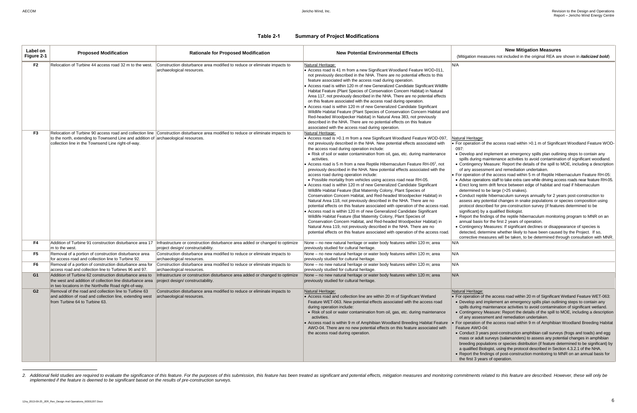ation measures not included in the original REA are shown in *italicized bold*)

### leritage:

eration of the access road within > 0.1 m of Significant Woodland Feature WOD-

lop and implement an emergency spills plan outlining steps to contain any during maintenance activities to avoid contamination of significant woodland. ingency Measure: Report the details of the spill to MOE, including a description ny assessment and remediation undertaken.

eration of the access road within 5 m of Reptile Hibernaculum Feature RH-05: se operations staff to take extra care while driving access roads near feature RH-05. t long term drift fence between edge of habitat and road if hibernaculum mined to be large (>25 snakes).

duct reptile hibernaculum surveys annually for 2 years post-construction to ss any potential changes in snake populations or species composition using protocol described for pre-construction survey (if features determined to be ficant) by a qualified Biologist.

ort the findings of the reptile hibernaculum monitoring program to MNR on an al basis for the first 2 years of operation.

ingency Measures: If significant declines or disappearance of species is cted, determine whether likely to have been caused by the Project. If so, ctive measures will be taken, to be determined through consultation with MNR.

### leritage:

eration of the access road within 20 m of Significant Wetland Feature WET-063: lop and implement an emergency spills plan outlining steps to contain any during maintenance activities to avoid contamination of significant wetland. ingency Measure: Report the details of the spill to MOE, including a description y assessment and remediation undertaken.

eration of the access road within 9 m of Amphibian Woodland Breeding Habitat  $B$  AWO-04:

luct 3 years post-construction amphibian call surveys (frogs and toads) and egg s or adult surveys (salamanders) to assess any potential changes in amphibian ding populations or species distribution (if feature determined to be significant) by alified Biologist, using the protocol described in Section 4.3.2.1 of the NHA. ort the findings of post-construction monitoring to MNR on an annual basis for rst 3 years of operation.

### **Table 2-1 Summary of Project Modifications**

| Label on<br>Figure 2-1 | <b>Proposed Modification</b>                                                                                                                                                                                   | <b>Rationale for Proposed Modification</b>                                                                                        | <b>New Potential Environmental Effects</b>                                                                                                                                                                                                                                                                                                                                                                                                                                                                                                                                                                                                                                                                                                                                                                                                                                                                                                                                                                                                                                                                                                                                                                                                                                                                                                                        | <b>New Mitigation Measures</b><br>(Mitigation measures not included in the original REA are                                                                                                                                                                                                                                                                                                                                                                                                                                                                                                                                                                                                                                                                                                                                                                                                                                                                                                                                                                                                                 |
|------------------------|----------------------------------------------------------------------------------------------------------------------------------------------------------------------------------------------------------------|-----------------------------------------------------------------------------------------------------------------------------------|-------------------------------------------------------------------------------------------------------------------------------------------------------------------------------------------------------------------------------------------------------------------------------------------------------------------------------------------------------------------------------------------------------------------------------------------------------------------------------------------------------------------------------------------------------------------------------------------------------------------------------------------------------------------------------------------------------------------------------------------------------------------------------------------------------------------------------------------------------------------------------------------------------------------------------------------------------------------------------------------------------------------------------------------------------------------------------------------------------------------------------------------------------------------------------------------------------------------------------------------------------------------------------------------------------------------------------------------------------------------|-------------------------------------------------------------------------------------------------------------------------------------------------------------------------------------------------------------------------------------------------------------------------------------------------------------------------------------------------------------------------------------------------------------------------------------------------------------------------------------------------------------------------------------------------------------------------------------------------------------------------------------------------------------------------------------------------------------------------------------------------------------------------------------------------------------------------------------------------------------------------------------------------------------------------------------------------------------------------------------------------------------------------------------------------------------------------------------------------------------|
| F <sub>2</sub>         | Relocation of Turbine 44 access road 32 m to the west.                                                                                                                                                         | Construction disturbance area modified to reduce or eliminate impacts to<br>archaeological resources.                             | Natural Heritage:<br>• Access road is 41 m from a new Significant Woodland Feature WOD-011,<br>not previously described in the NHA. There are no potential effects to this<br>feature associated with the access road during operation.<br>Access road is within 120 m of new Generalized Candidate Significant Wildlife<br>Habitat Feature (Plant Species of Conservation Concern Habitat) in Natural<br>Area 117, not previously described in the NHA. There are no potential effects<br>on this feature associated with the access road during operation.<br>Access road is within 120 m of new Generalized Candidate Significant<br>Wildlife Habitat Feature (Plant Species of Conservation Concern Habitat and<br>Red-headed Woodpecker Habitat) in Natural Area 383, not previously<br>described in the NHA. There are no potential effects on this feature<br>associated with the access road during operation.                                                                                                                                                                                                                                                                                                                                                                                                                                            | N/A                                                                                                                                                                                                                                                                                                                                                                                                                                                                                                                                                                                                                                                                                                                                                                                                                                                                                                                                                                                                                                                                                                         |
| F <sub>3</sub>         | to the north, extending to Townsend Line and addition of archaeological resources.<br>collection line in the Townsend Line right-of-way.                                                                       | Relocation of Turbine 90 access road and collection line Construction disturbance area modified to reduce or eliminate impacts to | Natural Heritage:<br>Access road is >0.1 m from a new Significant Woodland Feature WOD-097,<br>not previously described in the NHA. New potential effects associated with<br>the access road during operation include:<br>• Risk of soil or water contamination from oil, gas, etc. during maintenance<br>activities.<br>Access road is 5 m from a new Reptile Hibernaculum Feature RH-05 <sup>2</sup> , not<br>previously described in the NHA. New potential effects associated with the<br>access road during operation include:<br>. Possible mortality from vehicles using access road near RH-05.<br>Access road is within 120 m of new Generalized Candidate Significant<br>Wildlife Habitat Feature (Bat Maternity Colony, Plant Species of<br>Conservation Concern Habitat, and Red-headed Woodpecker Habitat) in<br>Natural Area 118, not previously described in the NHA. There are no<br>potential effects on this feature associated with operation of the access road.<br>Access road is within 120 m of new Generalized Candidate Significant<br>Wildlife Habitat Feature (Bat Maternity Colony, Plant Species of<br>Conservation Concern Habitat, and Red-headed Woodpecker Habitat) in<br>Natural Area 119, not previously described in the NHA. There are no<br>potential effects on this feature associated with operation of the access road. | Natural Heritage:<br>• For operation of the access road within $>0.1$ m of Signific<br>097:<br>• Develop and implement an emergency spills plan outlin<br>spills during maintenance activities to avoid contaminat<br>• Contingency Measure: Report the details of the spill to<br>of any assessment and remediation undertaken.<br>• For operation of the access road within 5 m of Reptile Hit<br>• Advise operations staff to take extra care while driving accom-<br>• Erect long term drift fence between edge of habitat and<br>determined to be large (>25 snakes).<br>• Conduct reptile hibernaculum surveys annually for 2 ye<br>assess any potential changes in snake populations or s<br>protocol described for pre-construction survey (if feature<br>significant) by a qualified Biologist.<br>• Report the findings of the reptile hibernaculum monitori<br>annual basis for the first 2 years of operation.<br>• Contingency Measures: If significant declines or disapp<br>detected, determine whether likely to have been cause<br>corrective measures will be taken, to be determined thr |
| F4                     | Addition of Turbine 91 construction disturbance area 17<br>m to the west                                                                                                                                       | Infrastructure or construction disturbance area added or changed to optimize<br>project design/constructability.                  | None - no new natural heritage or water body features within 120 m; area<br>previously studied for cultural heritage.                                                                                                                                                                                                                                                                                                                                                                                                                                                                                                                                                                                                                                                                                                                                                                                                                                                                                                                                                                                                                                                                                                                                                                                                                                             | N/A                                                                                                                                                                                                                                                                                                                                                                                                                                                                                                                                                                                                                                                                                                                                                                                                                                                                                                                                                                                                                                                                                                         |
| F <sub>5</sub>         | Removal of a portion of construction disturbance area<br>for access road and collection line to Turbine 92.                                                                                                    | Construction disturbance area modified to reduce or eliminate impacts to<br>archaeological resources.                             | None - no new natural heritage or water body features within 120 m; area<br>previously studied for cultural heritage.                                                                                                                                                                                                                                                                                                                                                                                                                                                                                                                                                                                                                                                                                                                                                                                                                                                                                                                                                                                                                                                                                                                                                                                                                                             | N/A                                                                                                                                                                                                                                                                                                                                                                                                                                                                                                                                                                                                                                                                                                                                                                                                                                                                                                                                                                                                                                                                                                         |
| F6                     | Removal of a portion of construction disturbance area for<br>access road and collection line to Turbines 96 and 97                                                                                             | Construction disturbance area modified to reduce or eliminate impacts to<br>archaeological resources.                             | None - no new natural heritage or water body features within 120 m; area<br>previously studied for cultural heritage.                                                                                                                                                                                                                                                                                                                                                                                                                                                                                                                                                                                                                                                                                                                                                                                                                                                                                                                                                                                                                                                                                                                                                                                                                                             | N/A                                                                                                                                                                                                                                                                                                                                                                                                                                                                                                                                                                                                                                                                                                                                                                                                                                                                                                                                                                                                                                                                                                         |
| G1                     | Addition of Turbine 62 construction disturbance area to<br>the west and addition of collection line disturbance area project design/constructability.<br>in two locations in the Northville Road right-of-way. | Infrastructure or construction disturbance area added or changed to optimize                                                      | None – no new natural heritage or water body features within 120 m; area<br>previously studied for cultural heritage.                                                                                                                                                                                                                                                                                                                                                                                                                                                                                                                                                                                                                                                                                                                                                                                                                                                                                                                                                                                                                                                                                                                                                                                                                                             | N/A                                                                                                                                                                                                                                                                                                                                                                                                                                                                                                                                                                                                                                                                                                                                                                                                                                                                                                                                                                                                                                                                                                         |
| G <sub>2</sub>         | Removal of the road and collection line to Turbine 63<br>and addition of road and collection line, extending west<br>from Turbine 64 to Turbine 63.                                                            | Construction disturbance area modified to reduce or eliminate impacts to<br>archaeological resources.                             | Natural Heritage:<br>• Access road and collection line are within 20 m of Significant Wetland<br>Feature WET-063. New potential effects associated with the access road<br>during operation include:<br>• Risk of soil or water contamination from oil, gas, etc. during maintenance<br>activities.<br>• Access road is within 9 m of Amphibian Woodland Breeding Habitat Feature<br>AWO-04. There are no new potential effects on this feature associated with<br>the access road during operation.                                                                                                                                                                                                                                                                                                                                                                                                                                                                                                                                                                                                                                                                                                                                                                                                                                                              | Natural Heritage:<br>$\bullet$ For operation of the access road within 20 m of Significant<br>• Develop and implement an emergency spills plan outlin<br>spills during maintenance activities to avoid contaminat<br>• Contingency Measure: Report the details of the spill to<br>of any assessment and remediation undertaken.<br>For operation of the access road within 9 m of Amphibian<br>Feature AWO-04:<br>• Conduct 3 years post-construction amphibian call survey<br>mass or adult surveys (salamanders) to assess any pote<br>breeding populations or species distribution (if feature de<br>a qualified Biologist, using the protocol described in Sect<br>• Report the findings of post-construction monitoring to M<br>the first 3 years of operation.                                                                                                                                                                                                                                                                                                                                        |

2. Additional field studies are required to evaluate the significance of this feature. For the purposes of this submission, this feature has been treated as significant and potential effects, mitigation measures and monito *implemented if the feature is deemed to be significant based on the results of pre-construction surveys.*

l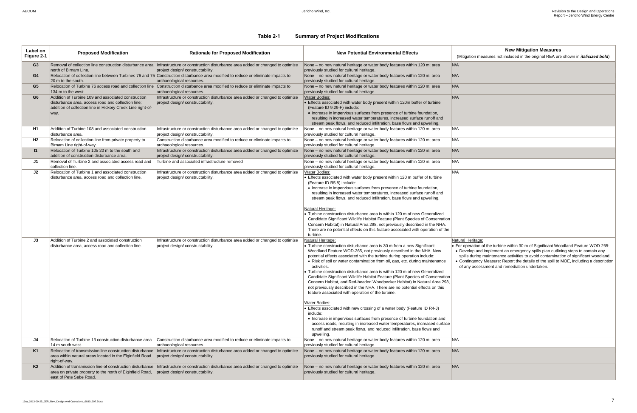(ation measures not included in the original REA are shown in *italicized bold*)

### **Table 2-1 Summary of Project Modifications**

| Label on<br>Figure 2-1 | <b>Proposed Modification</b>                                                                                                                                                     | <b>Rationale for Proposed Modification</b>                                                                                                                                   | <b>New Potential Environmental Effects</b>                                                                                                                                                                                                                                                                                                                                                                                                                                                                                                                                                                                                                                                                                                                                                                                                                                                                                                                                                                                                                                             | <b>New Mitigation Measures</b><br>(Mitigation measures not included in the original REA are                                                                                                                                                                                                                            |
|------------------------|----------------------------------------------------------------------------------------------------------------------------------------------------------------------------------|------------------------------------------------------------------------------------------------------------------------------------------------------------------------------|----------------------------------------------------------------------------------------------------------------------------------------------------------------------------------------------------------------------------------------------------------------------------------------------------------------------------------------------------------------------------------------------------------------------------------------------------------------------------------------------------------------------------------------------------------------------------------------------------------------------------------------------------------------------------------------------------------------------------------------------------------------------------------------------------------------------------------------------------------------------------------------------------------------------------------------------------------------------------------------------------------------------------------------------------------------------------------------|------------------------------------------------------------------------------------------------------------------------------------------------------------------------------------------------------------------------------------------------------------------------------------------------------------------------|
| G3                     | north of Birnam Line.                                                                                                                                                            | Removal of collection line construction disturbance area  Infrastructure or construction disturbance area added or changed to optimize<br>project design/constructability.   | None – no new natural heritage or water body features within 120 m; area<br>previously studied for cultural heritage.                                                                                                                                                                                                                                                                                                                                                                                                                                                                                                                                                                                                                                                                                                                                                                                                                                                                                                                                                                  | N/A                                                                                                                                                                                                                                                                                                                    |
| G4                     | 20 m to the south.                                                                                                                                                               | Relocation of collection line between Turbines 76 and 75 Construction disturbance area modified to reduce or eliminate impacts to<br>archaeological resources.               | None - no new natural heritage or water body features within 120 m; area<br>previously studied for cultural heritage.                                                                                                                                                                                                                                                                                                                                                                                                                                                                                                                                                                                                                                                                                                                                                                                                                                                                                                                                                                  | N/A                                                                                                                                                                                                                                                                                                                    |
| G5                     | 134 m to the west.                                                                                                                                                               | Relocation of Turbine 76 access road and collection line Construction disturbance area modified to reduce or eliminate impacts to<br>archaeological resources.               | None - no new natural heritage or water body features within 120 m; area<br>previously studied for cultural heritage.                                                                                                                                                                                                                                                                                                                                                                                                                                                                                                                                                                                                                                                                                                                                                                                                                                                                                                                                                                  | N/A                                                                                                                                                                                                                                                                                                                    |
| G6                     | Addition of Turbine 109 and associated construction<br>disturbance area, access road and collection line;<br>addition of collection line in Hickory Creek Line right-of-<br>way. | Infrastructure or construction disturbance area added or changed to optimize<br>project design/constructability.                                                             | <b>Water Bodies:</b><br>• Effects associated with water body present within 120m buffer of turbine<br>(Feature ID 9.29-F) include:<br>• Increase in impervious surfaces from presence of turbine foundation,<br>resulting in increased water temperatures, increased surface runoff and<br>stream peak flows, and reduced infiltration, base flows and upwelling.                                                                                                                                                                                                                                                                                                                                                                                                                                                                                                                                                                                                                                                                                                                      | N/A                                                                                                                                                                                                                                                                                                                    |
| H1                     | Addition of Turbine 108 and associated construction<br>disturbance area.                                                                                                         | Infrastructure or construction disturbance area added or changed to optimize<br>project design/constructability.                                                             | None – no new natural heritage or water body features within 120 m; area<br>previously studied for cultural heritage.                                                                                                                                                                                                                                                                                                                                                                                                                                                                                                                                                                                                                                                                                                                                                                                                                                                                                                                                                                  | N/A                                                                                                                                                                                                                                                                                                                    |
| H2                     | Relocation of collection line from private property to<br>Birnam Line right-of-way.                                                                                              | Construction disturbance area modified to reduce or eliminate impacts to<br>archaeological resources.                                                                        | None - no new natural heritage or water body features within 120 m; area<br>previously studied for cultural heritage.                                                                                                                                                                                                                                                                                                                                                                                                                                                                                                                                                                                                                                                                                                                                                                                                                                                                                                                                                                  | N/A                                                                                                                                                                                                                                                                                                                    |
| $\mathbf{I}$           | Relocation of Turbine 105 20 m to the south and<br>addition of construction disturbance area.                                                                                    | Infrastructure or construction disturbance area added or changed to optimize                                                                                                 | None - no new natural heritage or water body features within 120 m; area<br>previously studied for cultural heritage.                                                                                                                                                                                                                                                                                                                                                                                                                                                                                                                                                                                                                                                                                                                                                                                                                                                                                                                                                                  | N/A                                                                                                                                                                                                                                                                                                                    |
| J1                     | Removal of Turbine 2 and associated access road and                                                                                                                              | project design/constructability.<br>Turbine and associated infrastructure removed                                                                                            | None - no new natural heritage or water body features within 120 m; area                                                                                                                                                                                                                                                                                                                                                                                                                                                                                                                                                                                                                                                                                                                                                                                                                                                                                                                                                                                                               | N/A                                                                                                                                                                                                                                                                                                                    |
| J2                     | collection line.<br>Relocation of Turbine 1 and associated construction<br>disturbance area, access road and collection line.                                                    | Infrastructure or construction disturbance area added or changed to optimize<br>project design/constructability.                                                             | previously studied for cultural heritage.<br>Water Bodies:<br>• Effects associated with water body present within 120 m buffer of turbine<br>(Feature ID R5.8) include:<br>• Increase in impervious surfaces from presence of turbine foundation,<br>resulting in increased water temperatures, increased surface runoff and<br>stream peak flows, and reduced infiltration, base flows and upwelling.<br>Natural Heritage:<br>• Turbine construction disturbance area is within 120 m of new Generalized<br>Candidate Significant Wildlife Habitat Feature (Plant Species of Conservation<br>Concern Habitat) in Natural Area 298, not previously described in the NHA.<br>There are no potential effects on this feature associated with operation of the<br>turbine.                                                                                                                                                                                                                                                                                                                | N/A                                                                                                                                                                                                                                                                                                                    |
| J3                     | Addition of Turbine 2 and associated construction<br>disturbance area, access road and collection line.                                                                          | Infrastructure or construction disturbance area added or changed to optimize<br>project design/constructability.                                                             | Natural Heritage:<br>• Turbine construction disturbance area is 30 m from a new Significant<br>Woodland Feature WOD-265, not previously described in the NHA. New<br>potential effects associated with the turbine during operation include:<br>• Risk of soil or water contamination from oil, gas, etc. during maintenance<br>activities.<br>• Turbine construction disturbance area is within 120 m of new Generalized<br>Candidate Significant Wildlife Habitat Feature (Plant Species of Conservation<br>Concern Habitat, and Red-headed Woodpecker Habitat) in Natural Area 293,<br>not previously described in the NHA. There are no potential effects on this<br>feature associated with operation of the turbine.<br>Water Bodies:<br>• Effects associated with new crossing of a water body (Feature ID R4-J)<br>include:<br>• Increase in impervious surfaces from presence of turbine foundation and<br>access roads, resulting in increased water temperatures, increased surface<br>runoff and stream peak flows, and reduced infiltration, base flows and<br>upwelling. | Natural Heritage:<br>• For operation of the turbine within 30 m of Significant Wo<br>• Develop and implement an emergency spills plan outlin<br>spills during maintenance activities to avoid contaminat<br>• Contingency Measure: Report the details of the spill to<br>of any assessment and remediation undertaken. |
| J4                     | Relocation of Turbine 13 construction disturbance area<br>14 m south west                                                                                                        | Construction disturbance area modified to reduce or eliminate impacts to<br>archaeological resources.                                                                        | None - no new natural heritage or water body features within 120 m; area<br>previously studied for cultural heritage.                                                                                                                                                                                                                                                                                                                                                                                                                                                                                                                                                                                                                                                                                                                                                                                                                                                                                                                                                                  | N/A                                                                                                                                                                                                                                                                                                                    |
| K1                     | Relocation of transmission line construction disturbance<br>area within natural areas located in the Elginfield Road                                                             | Infrastructure or construction disturbance area added or changed to optimize<br>project design/ constructability.                                                            | None - no new natural heritage or water body features within 120 m; area<br>previously studied for cultural heritage.                                                                                                                                                                                                                                                                                                                                                                                                                                                                                                                                                                                                                                                                                                                                                                                                                                                                                                                                                                  | N/A                                                                                                                                                                                                                                                                                                                    |
| K2                     | right-of-way.<br>area on private property to the north of Elginfield Road,<br>east of Pete Sebe Road.                                                                            | Addition of transmission line of construction disturbance   Infrastructure or construction disturbance area added or changed to optimize<br>project design/constructability. | None - no new natural heritage or water body features within 120 m; area<br>previously studied for cultural heritage.                                                                                                                                                                                                                                                                                                                                                                                                                                                                                                                                                                                                                                                                                                                                                                                                                                                                                                                                                                  | N/A                                                                                                                                                                                                                                                                                                                    |

 For operation of the turbine within 30 m of Significant Woodland Feature WOD-265: Develop and implement an emergency spills plan outlining steps to contain any spills during maintenance activities to avoid contamination of significant woodland. Contingency Measure: Report the details of the spill to MOE, including a description of any assessment and remediation undertaken.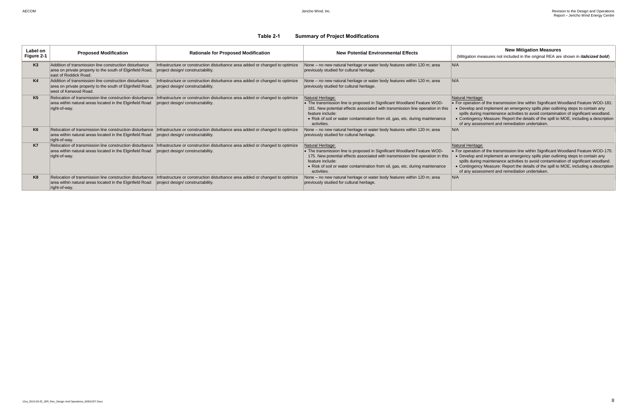ation measures not included in the original REA are shown in *italicized bold*)

### leritage:

eration of the transmission line within Significant Woodland Feature WOD-181: lop and implement an emergency spills plan outlining steps to contain any during maintenance activities to avoid contamination of significant woodland. ingency Measure: Report the details of the spill to MOE, including a description y assessment and remediation undertaken.

### leritage:

eration of the transmission line within Significant Woodland Feature WOD-175: lop and implement an emergency spills plan outlining steps to contain any sulating maintenance activities to avoid contamination of significant woodland. ingency Measure: Report the details of the spill to MOE, including a description v assessment and remediation undertaken.

### **Table 2-1 Summary of Project Modifications**

| Label on<br>Figure 2-1 | <b>Proposed Modification</b>                                                                                                                 | <b>Rationale for Proposed Modification</b>                                                                       | <b>New Potential Environmental Effects</b>                                                                                                                                                                                                                                                         | <b>New Mitigation Measures</b><br>(Mitigation measures not included in the original REA are                                                                                                                                                                                                                             |
|------------------------|----------------------------------------------------------------------------------------------------------------------------------------------|------------------------------------------------------------------------------------------------------------------|----------------------------------------------------------------------------------------------------------------------------------------------------------------------------------------------------------------------------------------------------------------------------------------------------|-------------------------------------------------------------------------------------------------------------------------------------------------------------------------------------------------------------------------------------------------------------------------------------------------------------------------|
| K <sub>3</sub>         | Addition of transmission line construction disturbance<br>area on private property to the south of Elginfield Road,<br>east of Roddick Road. | Infrastructure or construction disturbance area added or changed to optimize<br>project design/constructability. | None - no new natural heritage or water body features within 120 m; area<br>previously studied for cultural heritage.                                                                                                                                                                              | N/A                                                                                                                                                                                                                                                                                                                     |
| K4                     | Addition of transmission line construction disturbance<br>area on private property to the south of Elginfield Road,<br>west of Kerwood Road. | Infrastructure or construction disturbance area added or changed to optimize<br>project design/constructability. | None – no new natural heritage or water body features within 120 m; area<br>previously studied for cultural heritage.                                                                                                                                                                              | N/A                                                                                                                                                                                                                                                                                                                     |
| K5                     | Relocation of transmission line construction disturbance<br>area within natural areas located in the Elginfield Road<br>right-of-way.        | Infrastructure or construction disturbance area added or changed to optimize<br>project design/constructability. | Natural Heritage:<br>• The transmission line is proposed in Significant Woodland Feature WOD-<br>181. New potential effects associated with transmission line operation in this<br>feature include:<br>• Risk of soil or water contamination from oil, gas, etc. during maintenance<br>activities. | Natural Heritage:<br>• For operation of the transmission line within Significant W<br>• Develop and implement an emergency spills plan outlin<br>spills during maintenance activities to avoid contaminat<br>• Contingency Measure: Report the details of the spill to<br>of any assessment and remediation undertaken. |
| K <sub>6</sub>         | Relocation of transmission line construction disturbance<br>area within natural areas located in the Elginfield Road<br>right-of-way.        | Infrastructure or construction disturbance area added or changed to optimize<br>project design/constructability. | None - no new natural heritage or water body features within 120 m; area<br>previously studied for cultural heritage.                                                                                                                                                                              | N/A                                                                                                                                                                                                                                                                                                                     |
| K7                     | Relocation of transmission line construction disturbance<br>area within natural areas located in the Elginfield Road<br>right-of-way.        | Infrastructure or construction disturbance area added or changed to optimize<br>project design/constructability. | Natural Heritage:<br>• The transmission line is proposed in Significant Woodland Feature WOD-<br>175. New potential effects associated with transmission line operation in this<br>feature include:<br>• Risk of soil or water contamination from oil, gas, etc. during maintenance<br>activities. | Natural Heritage:<br>• For operation of the transmission line within Significant W<br>• Develop and implement an emergency spills plan outlin<br>spills during maintenance activities to avoid contaminat<br>• Contingency Measure: Report the details of the spill to<br>of any assessment and remediation undertaken. |
| K <sub>8</sub>         | Relocation of transmission line construction disturbance<br>area within natural areas located in the Elginfield Road<br>right-of-way.        | Infrastructure or construction disturbance area added or changed to optimize<br>project design/constructability. | None – no new natural heritage or water body features within 120 m; area<br>previously studied for cultural heritage.                                                                                                                                                                              | N/A                                                                                                                                                                                                                                                                                                                     |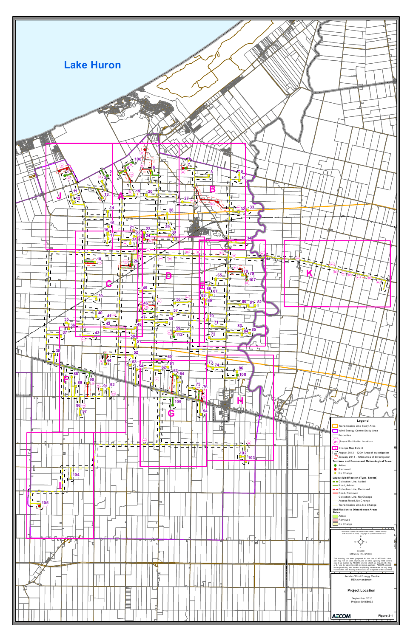<span id="page-10-0"></span>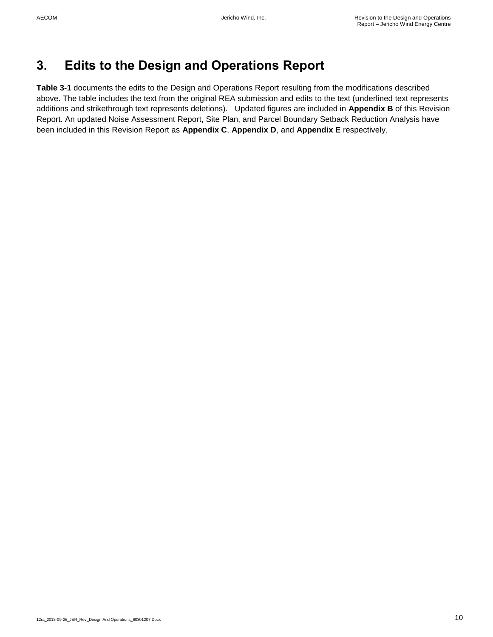# <span id="page-11-0"></span>**3. Edits to the Design and Operations Report**

**Table 3-1** documents the edits to the Design and Operations Report resulting from the modifications described above. The table includes the text from the original REA submission and edits to the text (underlined text represents additions and strikethrough text represents deletions). Updated figures are included in **Appendix B** of this Revision Report. An updated Noise Assessment Report, Site Plan, and Parcel Boundary Setback Reduction Analysis have been included in this Revision Report as **Appendix C**, **Appendix D**, and **Appendix E** respectively.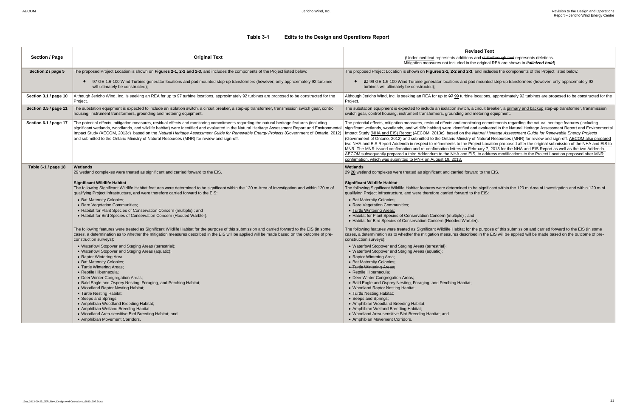## **Revised Text**

ins and strikethrough text represents deletions. If the original REA are shown in *italicized bold*)

1-3, and includes the components of the Project listed below:

pad mounted step-up transformers (however, only approximately 92

ne locations, approximately 92 turbines are proposed to be constructed for the

<sub>1</sub>, a circuit breaker, a primary and backup step-up transformer, transmission d metering equipment.

nitoring commitments regarding the natural heritage features (including d and evaluated in the Natural Heritage Assessment Report and Environmental **Impart Study Addition Endometic Study Find and Energy Projects and Find and Fernergy Projects and Find and Find Format Format Format Format Format Format Format Format Format Format Format Format Format Format Format Form** (Government of Ontario, 2012) and Submitted to the Ontario Ministry of Natural Resources (MNR) for review and sign-off. AECOM also prepared Project Location proposed after the original submission of the NHA and EIS to February 7, 2013 for the NHA and EIS Report as well as the two Addenda. EIS, to address modifications to the Project Location proposed after MNR

rward to the EIS.

to be significant within the 120 m Area of Investigation and within 120 m of to the  $EIS$ :

or the purpose of this submission and carried forward to the EIS (in some ribed in the EIS will be applied will be made based on the outcome of pre-

<span id="page-12-0"></span>

| <b>Section / Page</b> | <b>Original Text</b>                                                                                                                                                                                                                                                                                                                                                                                                                                                                                                                                  | <b>Revise</b><br>(Underlined text represents additions an<br>Mitigation measures not included in the o                                                                                                                                                                                                                                                                                                                                                                                                                                                                                              |
|-----------------------|-------------------------------------------------------------------------------------------------------------------------------------------------------------------------------------------------------------------------------------------------------------------------------------------------------------------------------------------------------------------------------------------------------------------------------------------------------------------------------------------------------------------------------------------------------|-----------------------------------------------------------------------------------------------------------------------------------------------------------------------------------------------------------------------------------------------------------------------------------------------------------------------------------------------------------------------------------------------------------------------------------------------------------------------------------------------------------------------------------------------------------------------------------------------------|
| Section 2 / page 5    | The proposed Project Location is shown on Figures 2-1, 2-2 and 2-3, and includes the components of the Project listed below:                                                                                                                                                                                                                                                                                                                                                                                                                          | The proposed Project Location is shown on Figures 2-1, 2-2 and 2-3, an                                                                                                                                                                                                                                                                                                                                                                                                                                                                                                                              |
|                       | 97 GE 1.6-100 Wind Turbine generator locations and pad mounted step-up transformers (however, only approximately 92 turbines<br>will ultimately be constructed);                                                                                                                                                                                                                                                                                                                                                                                      | 97 99 GE 1.6-100 Wind Turbine generator locations and pad m<br>turbines will ultimately be constructed);                                                                                                                                                                                                                                                                                                                                                                                                                                                                                            |
| Section 3.1 / page 10 | Although Jericho Wind, Inc. is seeking an REA for up to 97 turbine locations, approximately 92 turbines are proposed to be constructed for the<br>Project.                                                                                                                                                                                                                                                                                                                                                                                            | Although Jericho Wind, Inc. is seeking an REA for up to 97 99 turbine loo<br>Project.                                                                                                                                                                                                                                                                                                                                                                                                                                                                                                               |
| Section 3.5 / page 11 | The substation equipment is expected to include an isolation switch, a circuit breaker, a step-up transformer, transmission switch gear, control<br>housing, instrument transformers, grounding and metering equipment.                                                                                                                                                                                                                                                                                                                               | The substation equipment is expected to include an isolation switch, a cir<br>switch gear, control housing, instrument transformers, grounding and me                                                                                                                                                                                                                                                                                                                                                                                                                                               |
| Section 6.1 / page 17 | The potential effects, mitigation measures, residual effects and monitoring commitments regarding the natural heritage features (including<br>significant wetlands, woodlands, and wildlife habitat) were identified and evaluated in the Natural Heritage Assessment Report and Environmenta<br>Impact Study (AECOM, 2013c) based on the Natural Heritage Assessment Guide for Renewable Energy Projects (Government of Ontario, 2012)<br>and submitted to the Ontario Ministry of Natural Resources (MNR) for review and sign-off.                  | The potential effects, mitigation measures, residual effects and monitorin<br>significant wetlands, woodlands, and wildlife habitat) were identified and<br>Impact Study (NHA and EIS) Report (AECOM, 2013c) based on the Nat<br>(Government of Ontario, 2012) and submitted to the Ontario Ministry of N<br>two NHA and EIS Report Addenda in respect to refinements to the Project<br>MNR. The MNR issued confirmation and re-confirmation letters on Febru<br>AECOM subsequently prepared a third Addendum to the NHA and EIS, t<br>confirmation, which was submitted to MNR on August 19, 2013. |
| Table 6-1 / page 18   | Wetlands                                                                                                                                                                                                                                                                                                                                                                                                                                                                                                                                              | Wetlands                                                                                                                                                                                                                                                                                                                                                                                                                                                                                                                                                                                            |
|                       | 29 wetland complexes were treated as significant and carried forward to the EIS.                                                                                                                                                                                                                                                                                                                                                                                                                                                                      | 29 28 wetland complexes were treated as significant and carried forward                                                                                                                                                                                                                                                                                                                                                                                                                                                                                                                             |
|                       | <b>Significant Wildlife Habitat</b><br>The following Significant Wildlife Habitat features were determined to be significant within the 120 m Area of Investigation and within 120 m of<br>qualifying Project infrastructure, and were therefore carried forward to the EIS:<br>• Bat Maternity Colonies;<br>• Rare Vegetation Communities;<br>• Habitat for Plant Species of Conservation Concern (multiple) ; and<br>• Habitat for Bird Species of Conservation Concern (Hooded Warbler).                                                           | <b>Significant Wildlife Habitat</b><br>The following Significant Wildlife Habitat features were determined to be<br>qualifying Project infrastructure, and were therefore carried forward to the<br>• Bat Maternity Colonies;<br>• Rare Vegetation Communities;<br>• Turtle Wintering Areas;<br>• Habitat for Plant Species of Conservation Concern (multiple); and<br>• Habitat for Bird Species of Conservation Concern (Hooded Warbler).                                                                                                                                                         |
|                       | The following features were treated as Significant Wildlife Habitat for the purpose of this submission and carried forward to the EIS (in some<br>cases, a determination as to whether the mitigation measures described in the EIS will be applied will be made based on the outcome of pre-<br>construction surveys):<br>• Waterfowl Stopover and Staging Areas (terrestrial);<br>• Waterfowl Stopover and Staging Areas (aquatic);<br>• Raptor Wintering Area;<br>• Bat Maternity Colonies;<br>• Turtle Wintering Areas;<br>• Reptile Hibernacula; | The following features were treated as Significant Wildlife Habitat for the<br>cases, a determination as to whether the mitigation measures described<br>construction surveys):<br>• Waterfowl Stopover and Staging Areas (terrestrial);<br>• Waterfowl Stopover and Staging Areas (aquatic);<br>• Raptor Wintering Area;<br>• Bat Maternity Colonies;<br>• Turtle Wintering Areas;<br>• Reptile Hibernacula;                                                                                                                                                                                       |
|                       | • Deer Winter Congregation Areas;<br>• Bald Eagle and Osprey Nesting, Foraging, and Perching Habitat;<br>• Woodland Raptor Nesting Habitat;<br>• Turtle Nesting Habitat;<br>• Seeps and Springs;<br>• Amphibian Woodland Breeding Habitat;<br>• Amphibian Wetland Breeding Habitat;<br>• Woodland Area-sensitive Bird Breeding Habitat; and<br>• Amphibian Movement Corridors.                                                                                                                                                                        | • Deer Winter Congregation Areas;<br>• Bald Eagle and Osprey Nesting, Foraging, and Perching Habitat;<br>• Woodland Raptor Nesting Habitat;<br>• Turtle Nesting Habitat;<br>• Seeps and Springs;<br>• Amphibian Woodland Breeding Habitat;<br>• Amphibian Wetland Breeding Habitat;<br>• Woodland Area-sensitive Bird Breeding Habitat; and<br>• Amphibian Movement Corridors.                                                                                                                                                                                                                      |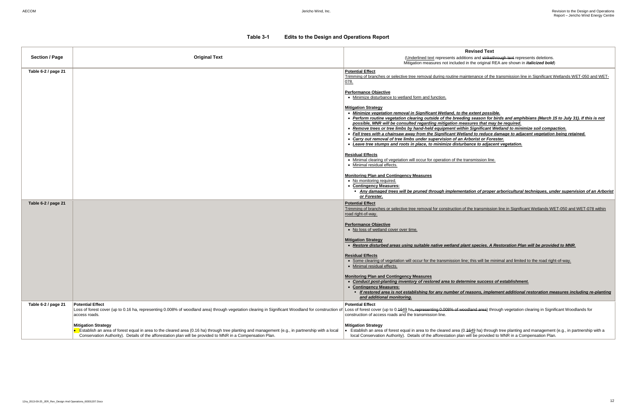(Underlined text represents additions and strikethrough text represents deletions. Mitigation measures not included in the original REA are shown in *italicized bold*)

tenance of the transmission line in Significant Wetlands WET-050 and WET-

### **Revised Text**

 *Perform routine vegetation clearing outside of the breeding season for birds and amphibians (March 15 to July 31). If this is not possible, MNR will be consulted regarding mitigation measures that may be required. <u>Significant Wetland to minimize soil compaction.</u> Fell trees with a chainsaw away from the Significant Wetland to reduce damage to adjacent vegetation being retained. Carry or Forester. Leave tree stumps and roots in place, to minimize disturbance to adjacent vegetation.*

## *Any damaged trees will be pruned through implementation of proper arboricultural techniques, under supervision of an Arborist*

Intertumming or seteral for trimming or transmission line in Significant Wetlands WET-078 within

| <b>Section / Page</b> | <b>Original Text</b>                                                                                                                                                                                                                                                                        | <b>Revised Text</b><br>(Underlined text represents additions and strikethror<br>Mitigation measures not included in the original REA                                                                                                                                                                                                                                                                                                                                                                                                                                                                                                                                                                                                                                                                                                           |
|-----------------------|---------------------------------------------------------------------------------------------------------------------------------------------------------------------------------------------------------------------------------------------------------------------------------------------|------------------------------------------------------------------------------------------------------------------------------------------------------------------------------------------------------------------------------------------------------------------------------------------------------------------------------------------------------------------------------------------------------------------------------------------------------------------------------------------------------------------------------------------------------------------------------------------------------------------------------------------------------------------------------------------------------------------------------------------------------------------------------------------------------------------------------------------------|
| Table 6-2 / page 21   |                                                                                                                                                                                                                                                                                             | <b>Potential Effect</b><br>Trimming of branches or selective tree removal during routine maintenance of the tra<br>078.                                                                                                                                                                                                                                                                                                                                                                                                                                                                                                                                                                                                                                                                                                                        |
|                       |                                                                                                                                                                                                                                                                                             | <b>Performance Objective</b><br>• Minimize disturbance to wetland form and function.<br><b>Mitigation Strategy</b><br>• Minimize vegetation removal in Significant Wetland, to the extent possible.<br>• Perform routine vegetation clearing outside of the breeding season for bire<br>possible, MNR will be consulted regarding mitigation measures that may b<br>• Remove trees or tree limbs by hand-held equipment within Significant Wet<br>• Fell trees with a chainsaw away from the Significant Wetland to reduce dai<br>• Carry out removal of tree limbs under supervision of an Arborist or Forest<br>• Leave tree stumps and roots in place, to minimize disturbance to adjacent<br><b>Residual Effects</b><br>. Minimal clearing of vegetation will occur for operation of the transmission line.<br>• Minimal residual effects. |
|                       |                                                                                                                                                                                                                                                                                             | <b>Monitoring Plan and Contingency Measures</b><br>• No monitoring required.<br>• Contingency Measures:<br>- Any damaged trees will be pruned through implementation of proper a<br>or Forester.                                                                                                                                                                                                                                                                                                                                                                                                                                                                                                                                                                                                                                               |
| Table 6-2 / page 21   |                                                                                                                                                                                                                                                                                             | <b>Potential Effect</b><br>Trimming of branches or selective tree removal for construction of the transmission li<br>road right-of-way.<br><b>Performance Objective</b><br>• No loss of wetland cover over time.                                                                                                                                                                                                                                                                                                                                                                                                                                                                                                                                                                                                                               |
|                       |                                                                                                                                                                                                                                                                                             | <b>Mitigation Strategy</b><br>• Restore disturbed areas using suitable native wetland plant species. A Res<br><b>Residual Effects</b><br>• Some clearing of vegetation will occur for the transmission line; this will be minin<br>• Minimal residual effects.                                                                                                                                                                                                                                                                                                                                                                                                                                                                                                                                                                                 |
|                       |                                                                                                                                                                                                                                                                                             | <b>Monitoring Plan and Contingency Measures</b><br>Conduct post-planting inventory of restored area to determine success of<br>• Contingency Measures:<br>• If restored area is not establishing for any number of reasons, impleme<br>and additional monitoring.                                                                                                                                                                                                                                                                                                                                                                                                                                                                                                                                                                              |
| Table 6-2 / page 21   | <b>Potential Effect</b><br>Loss of forest cover (up to 0.16 ha, representing 0.008% of woodland area) through vegetation clearing in Significant Woodland for construction of<br>access roads.                                                                                              | <b>Potential Effect</b><br>Loss of forest cover (up to 0.4649 ha, representing 0.008% of woodland area) through<br>construction of access roads and the transmission line.                                                                                                                                                                                                                                                                                                                                                                                                                                                                                                                                                                                                                                                                     |
|                       | <b>Mitigation Strategy</b><br>Establish an area of forest equal in area to the cleared area (0.16 ha) through tree planting and management (e.g., in partnership with a local<br>Conservation Authority). Details of the afforestation plan will be provided to MNR in a Compensation Plan. | <b>Mitigation Strategy</b><br>Establish an area of forest equal in area to the cleared area (0.4649 ha) through t<br>local Conservation Authority). Details of the afforestation plan will be provided to                                                                                                                                                                                                                                                                                                                                                                                                                                                                                                                                                                                                                                      |

*Restore disturbed areas using suitable native wetland plant species. A Restoration Plan will be provided to MNR.*

this will be minimal and limited to the road right-of-way.

### *Conduct post-planting inventory of restored area to determine success of establishment.*

*If restored area is not establishing for any number of reasons, implement additional restoration measures including re-planting* 

Hand area) through vegetation clearing in Significant Woodlands for

649 ha) through tree planting and management (e.g., in partnership with a ill be provided to MNR in a Compensation Plan.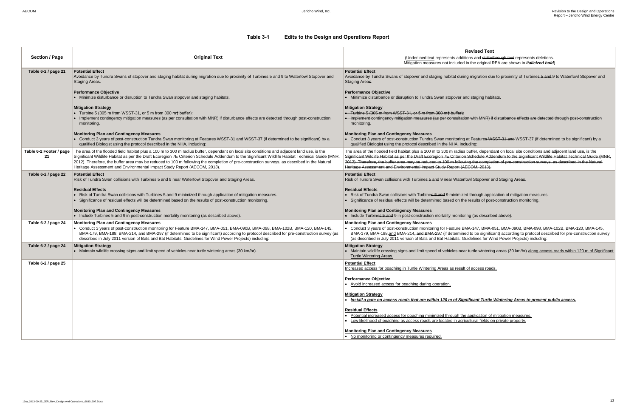## **Revised Text**

ins and strikethrough text represents deletions. If the original REA are shown in *italicized bold*)

migration due to proximity of Turbines 5 and 9 to Waterfowl Stopover and

staging habitats.

with MNR) if disturbance effects are detected through post-construction

Features WSST-31 and WSST-37 (if determined to be significant) by a

uffer, dependant on local site conditions and adjacent land use, is the Schedule Addendum to the Significant Wildlife Habitat Technical Guide (MNR, g the completion of pre-construction surveys, as described in the Natural  $\text{COM}, 2013$ ).

I Stopover and Staging Areas.

through application of mitigation measures. results of post-construction monitoring.

g (as described above).

A-147, BMA-051, BMA-090B, BMA-098, BMA-102B, BMA-120, BMA-145, I to be significant) according to protocol described for pre-construction survey delines for Wind Power Projects) including:

urtle wintering areas (30 km/hr) along access roads within 120 m of Significant

<u>f access roads.</u>

### *Incant Turtle Wintering Areas to prevent public access.*

application of mitigation measures. Itural fields on private property.

| <b>Section / Page</b>         | <b>Original Text</b>                                                                                                                                                                                                                                                                                                                                                                                                                                                                                                       | <b>Revis</b><br>(Underlined text represents additions at<br>Mitigation measures not included in the                                                                                                                                                                                                   |
|-------------------------------|----------------------------------------------------------------------------------------------------------------------------------------------------------------------------------------------------------------------------------------------------------------------------------------------------------------------------------------------------------------------------------------------------------------------------------------------------------------------------------------------------------------------------|-------------------------------------------------------------------------------------------------------------------------------------------------------------------------------------------------------------------------------------------------------------------------------------------------------|
| Table 6-2 / page 21           | <b>Potential Effect</b><br>Avoidance by Tundra Swans of stopover and staging habitat during migration due to proximity of Turbines 5 and 9 to Waterfowl Stopover and<br><b>Staging Areas.</b>                                                                                                                                                                                                                                                                                                                              | <b>Potential Effect</b><br>Avoidance by Tundra Swans of stopover and staging habitat during mig<br><b>Staging Areas.</b>                                                                                                                                                                              |
|                               | <b>Performance Objective</b><br>• Minimize disturbance or disruption to Tundra Swan stopover and staging habitats.                                                                                                                                                                                                                                                                                                                                                                                                         | <b>Performance Objective</b><br>• Minimize disturbance or disruption to Tundra Swan stopover and stagential                                                                                                                                                                                           |
|                               | <b>Mitigation Strategy</b><br>• Turbine 5 (305 m from WSST-31, or 5 m from 300 m+ buffer):<br>• Implement contingency mitigation measures (as per consultation with MNR) if disturbance effects are detected through post-construction<br>monitoring.                                                                                                                                                                                                                                                                      | <b>Mitigation Strategy</b><br>• Turbine 5 (305 m from WSST-31, or 5 m from 300 m+ buffer):<br>• Implement contingency mitigation measures (as per consultation with<br>monitoring.                                                                                                                    |
|                               | <b>Monitoring Plan and Contingency Measures</b><br>• Conduct 3 years of post-construction Tundra Swan monitoring at Features WSST-31 and WSST-37 (if determined to be significant) by a<br>qualified Biologist using the protocol described in the NHA, including:                                                                                                                                                                                                                                                         | <b>Monitoring Plan and Contingency Measures</b><br>• Conduct 3 years of post-construction Tundra Swan monitoring at Fea<br>qualified Biologist using the protocol described in the NHA, including:                                                                                                    |
| Table 6-2 Footer / page<br>21 | The area of the flooded field habitat plus a 100 m to 300 m radius buffer, dependant on local site conditions and adjacent land use, is the<br>Significant Wildlife Habitat as per the Draft Ecoregion 7E Criterion Schedule Addendum to the Significant Wildlife Habitat Technical Guide (MNR,<br>2012). Therefore, the buffer area may be reduced to 100 m following the completion of pre-construction surveys, as described in the Natural<br>Heritage Assessment and Environmental Impact Study Report (AECOM, 2013). | The area of the flooded field habitat plus a 100 m to 300 m radius buffer<br>Significant Wildlife Habitat as per the Draft Ecoregion 7E Criterion Sche<br>2012). Therefore, the buffer area may be reduced to 100 m following the<br>Heritage Assessment and Environmental Impact Study Report (AECOM |
| Table 6-2 / page 22           | <b>Potential Effect</b><br>Risk of Tundra Swan collisions with Turbines 5 and 9 near Waterfowl Stopover and Staging Areas.                                                                                                                                                                                                                                                                                                                                                                                                 | <b>Potential Effect</b><br>Risk of Tundra Swan collisions with Turbines 5 and 9 near Waterfowl St                                                                                                                                                                                                     |
|                               | <b>Residual Effects</b><br>• Risk of Tundra Swan collisions with Turbines 5 and 9 minimized through application of mitigation measures.<br>• Significance of residual effects will be determined based on the results of post-construction monitoring.                                                                                                                                                                                                                                                                     | <b>Residual Effects</b><br>Risk of Tundra Swan collisions with Turbines 5 and 9 minimized thro<br>• Significance of residual effects will be determined based on the resul                                                                                                                            |
|                               | <b>Monitoring Plan and Contingency Measures</b><br>• Include Turbines 5 and 9 in post-construction mortality monitoring (as described above).                                                                                                                                                                                                                                                                                                                                                                              | <b>Monitoring Plan and Contingency Measures</b><br>• Include Turbines 5 and 9 in post-construction mortality monitoring (as                                                                                                                                                                           |
| Table 6-2 / page 24           | <b>Monitoring Plan and Contingency Measures</b><br>• Conduct 3 years of post-construction monitoring for Feature BMA-147, BMA-051, BMA-090B, BMA-098, BMA-102B, BMA-120, BMA-145,<br>BMA-179, BMA-188, BMA-214, and BMA-297 (if determined to be significant) according to protocol described for pre-construction survey (as<br>described in July 2011 version of Bats and Bat Habitats: Guidelines for Wind Power Projects) including:                                                                                   | <b>Monitoring Plan and Contingency Measures</b><br>• Conduct 3 years of post-construction monitoring for Feature BMA-14<br>BMA-179, BMA-188, and BMA-214, and BMA-297 (if determined to b<br>(as described in July 2011 version of Bats and Bat Habitats: Guidelin                                    |
| Table 6-2 / page 24           | <b>Mitigation Strategy</b><br>• Maintain wildlife crossing signs and limit speed of vehicles near turtle wintering areas (30 km/hr).                                                                                                                                                                                                                                                                                                                                                                                       | <b>Mitigation Strategy</b><br>• Maintain wildlife crossing signs and limit speed of vehicles near turtle<br><b>Turtle Wintering Areas.</b>                                                                                                                                                            |
| Table 6-2 / page 25           |                                                                                                                                                                                                                                                                                                                                                                                                                                                                                                                            | <b>Potential Effect</b><br>Increased access for poaching in Turtle Wintering Areas as result of acc                                                                                                                                                                                                   |
|                               |                                                                                                                                                                                                                                                                                                                                                                                                                                                                                                                            | <b>Performance Objective</b><br>• Avoid increased access for poaching during operation.                                                                                                                                                                                                               |
|                               |                                                                                                                                                                                                                                                                                                                                                                                                                                                                                                                            | <b>Mitigation Strategy</b><br>Install a gate on access roads that are within 120 m of Significar                                                                                                                                                                                                      |
|                               |                                                                                                                                                                                                                                                                                                                                                                                                                                                                                                                            | <b>Residual Effects</b><br>Potential increased access for poaching minimized through the applic<br>Low likelihood of poaching as access roads are located in agricultura                                                                                                                              |
|                               |                                                                                                                                                                                                                                                                                                                                                                                                                                                                                                                            | <b>Monitoring Plan and Contingency Measures</b><br>• No monitoring or contingency measures required.                                                                                                                                                                                                  |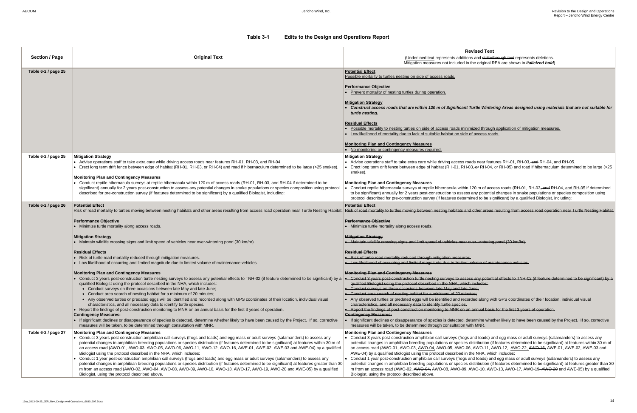## **Revised Text**

ons and strikethrough text represents deletions. in the original REA are shown in *italicized bold*)

### *Construct access roads that are within 120 m of Significant Turtle Wintering Areas designed using materials that are not suitable for*

nimized through application of mitigation measures. e of access roads.

roads near features RH-01, RH-03, and RH-04, and RH-05. 1-03, or RH-04, or RH-05) and road if hibernaculum determined to be large (>25

n 120 m of access roads (RH-01, RH-03<del>, and</del> RH-04, and RH-05 if determined ss any potential changes in snake populations or species composition using mined to be significant) by a qualified Biologist, including:

nd other areas resulting from access road operation near Turtle Nesting Habitat.

wer-wintering pond (30 km/hr).

volume of maintenance vehicles.

ess any potential effects to TNH-02 (if feature determined to be significant) by a h includes:

and angulated along with GPS coordinates of their location, individual visual records of their location.

n annual basis for the first 3 years of operation.

ne whether likely to have been caused by the Project. If so, corrective with MNR.

js and toads) and egg mass or adult surveys (salamanders) to assess any s distribution (if features determined to be significant) at features within 30 m of access road (AMD-12, AWO-22, AWO-16, AWE-01, AWE-02, AWE-03 and i the NHA, which includes:

cand toads) and egg mass or adult surveys (salamanders) to assess any s distribution (if features determined to be significant) at features greater than 30 , AWO-10, AWO-13, AWO-17, AWO-19<del>, AWO-20</del> and AWE-05) by a qualified

| <b>Section / Page</b> | <b>Original Text</b>                                                                                                                                                                                                                                                                                                                                                                                                                                                                                                                                                                                                                                                                                                                                                                                                                                                                                                                                                                                                                                                                                                                                                                                                                                                                                                                                                                                                                                                                                                                                                                                                                                                                                                                                                                                                | <b>Revise</b><br>(Underlined text represents additions an<br>Mitigation measures not included in the o                                                                                                                                                                                                                                                                                                                                                                                                                                                                                                                                                                                                                                                                                                                                                                                                                                                                                                                                                                                                |
|-----------------------|---------------------------------------------------------------------------------------------------------------------------------------------------------------------------------------------------------------------------------------------------------------------------------------------------------------------------------------------------------------------------------------------------------------------------------------------------------------------------------------------------------------------------------------------------------------------------------------------------------------------------------------------------------------------------------------------------------------------------------------------------------------------------------------------------------------------------------------------------------------------------------------------------------------------------------------------------------------------------------------------------------------------------------------------------------------------------------------------------------------------------------------------------------------------------------------------------------------------------------------------------------------------------------------------------------------------------------------------------------------------------------------------------------------------------------------------------------------------------------------------------------------------------------------------------------------------------------------------------------------------------------------------------------------------------------------------------------------------------------------------------------------------------------------------------------------------|-------------------------------------------------------------------------------------------------------------------------------------------------------------------------------------------------------------------------------------------------------------------------------------------------------------------------------------------------------------------------------------------------------------------------------------------------------------------------------------------------------------------------------------------------------------------------------------------------------------------------------------------------------------------------------------------------------------------------------------------------------------------------------------------------------------------------------------------------------------------------------------------------------------------------------------------------------------------------------------------------------------------------------------------------------------------------------------------------------|
| Table 6-2 / page 25   |                                                                                                                                                                                                                                                                                                                                                                                                                                                                                                                                                                                                                                                                                                                                                                                                                                                                                                                                                                                                                                                                                                                                                                                                                                                                                                                                                                                                                                                                                                                                                                                                                                                                                                                                                                                                                     | <b>Potential Effect</b><br>Possible mortality to turtles nesting on side of access roads.<br><b>Performance Objective</b><br>• Prevent mortality of nesting turtles during operation.<br><b>Mitigation Strategy</b><br>Construct access roads that are within 120 m of Significant Turtl<br>turtle nesting.<br><b>Residual Effects</b><br>Possible mortality to nesting turtles on side of access roads minimized<br>• Low likelihood of mortality due to lack of suitable habitat on side of ac<br><b>Monitoring Plan and Contingency Measures</b><br>• No monitoring or contingency measures required.                                                                                                                                                                                                                                                                                                                                                                                                                                                                                              |
| Table 6-2 / page 25   | <b>Mitigation Strategy</b><br>• Advise operations staff to take extra care while driving access roads near features RH-01, RH-03, and RH-04.<br>• Erect long term drift fence between edge of habitat (RH-01, RH-03, or RH-04) and road if hibernaculum determined to be large (>25 snakes).<br><b>Monitoring Plan and Contingency Measures</b><br>• Conduct reptile hibernacula surveys at reptile hibernacula within 120 m of access roads (RH-01, RH-03, and RH-04 if determined to be<br>significant) annually for 2 years post-construction to assess any potential changes in snake populations or species composition using protocol<br>described for pre-construction survey (if features determined to be significant) by a qualified Biologist, including:                                                                                                                                                                                                                                                                                                                                                                                                                                                                                                                                                                                                                                                                                                                                                                                                                                                                                                                                                                                                                                                | <b>Mitigation Strategy</b><br>$\bullet$ Advise operations staff to take extra care while driving access roads r<br>Erect long term drift fence between edge of habitat (RH-01, RH-03, or<br>snakes).<br><b>Monitoring Plan and Contingency Measures</b><br>Conduct reptile hibernacula surveys at reptile hibernacula within 120 r<br>to be significant) annually for 2 years post-construction to assess any<br>protocol described for pre-construction survey (if features determined                                                                                                                                                                                                                                                                                                                                                                                                                                                                                                                                                                                                               |
| Table 6-2 / page 26   | <b>Potential Effect</b><br>Risk of road mortality to turtles moving between nesting habitats and other areas resulting from access road operation near Turtle Nesting Habitat. Risk of road mortality to turtles moving between nesting habitats and othe<br><b>Performance Objective</b><br>• Minimize turtle mortality along access roads.<br><b>Mitigation Strategy</b><br>• Maintain wildlife crossing signs and limit speed of vehicles near over-wintering pond (30 km/hr).<br><b>Residual Effects</b><br>• Risk of turtle road mortality reduced through mitigation measures.<br>• Low likelihood of occurring and limited magnitude due to limited volume of maintenance vehicles.<br><b>Monitoring Plan and Contingency Measures</b><br>Conduct 3 years post-construction turtle nesting surveys to assess any potential effects to TNH-02 (if feature determined to be significant) by a e- Conduct 3 years post-construction turtle nesting surveys to assess an<br>qualified Biologist using the protocol described in the NHA, which includes:<br>• Conduct surveys on three occasions between late May and late June;<br>• Conduct area search of nesting habitat for a minimum of 20 minutes;<br>• Any observed turtles or predated eggs will be identified and recorded along with GPS coordinates of their location, individual visual<br>characteristics, and all necessary data to identify turtle species.<br>Report the findings of post-construction monitoring to MNR on an annual basis for the first 3 years of operation.<br><b>Contingency Measures:</b><br>• If significant declines or disappearance of species is detected, determine whether likely to have been caused by the Project. If so, corrective<br>measures will be taken, to be determined through consultation with MNR. | <b>Potential Effect</b><br><b>Performance Objective</b><br>• Minimize turtle mortality along access roads.<br><b>Mitigation Strategy</b><br>• Maintain wildlife crossing signs and limit speed of vehicles near over-<br><b>Residual Effects</b><br>• Risk of turtle road mortality reduced through mitigation measures.<br>• Low likelihood of occurring and limited magnitude due to limited volun<br><b>Monitoring Plan and Contingency Measures</b><br>qualified Biologist using the protocol described in the NHA, which incle<br>• Conduct surveys on three occasions between late May and late June;<br>• Conduct area search of nesting habitat for a minimum of 20 minutes;<br>• Any observed turtles or predated eggs will be identified and recorded<br>characteristics, and all necessary data to identify turtle species.<br>• Report the findings of post-construction monitoring to MNR on an ann<br><b>Contingency Measures:</b><br>• If significant declines or disappearance of species is detected, determ<br>measures will be taken, to be determined through consultation with M |
| Table 6-2 / page 27   | <b>Monitoring Plan and Contingency Measures</b><br>• Conduct 3 years post-construction amphibian call surveys (frogs and toads) and egg mass or adult surveys (salamanders) to assess any<br>potential changes in amphibian breeding populations or species distribution (if features determined to be significant) at features within 30 m of<br>an access road (AWO-01, AWO-03, AWO-05, AWO-06, AWO-11, AWO-12, AWO-16, AWE-01, AWE-02, AWE-03 and AWE-04) by a qualified<br>Biologist using the protocol described in the NHA, which includes:<br>Conduct 1 year post-construction amphibian call surveys (frogs and toads) and egg mass or adult surveys (salamanders) to assess any<br>potential changes in amphibian breeding populations or species distribution (if features determined to be significant) at features greater than 30<br>m from an access road (AWO-02, AWO-04, AWO-08, AWO-09, AWO-10, AWO-13, AWO-17, AWO-19, AWO-20 and AWE-05) by a qualified<br>Biologist, using the protocol described above.                                                                                                                                                                                                                                                                                                                                                                                                                                                                                                                                                                                                                                                                                                                                                                                        | <b>Monitoring Plan and Contingency Measures</b><br>$\bullet$ Conduct 3 years post-construction amphibian call surveys (frogs and<br>potential changes in amphibian breeding populations or species distril<br>an access road (AWO-01, AWO-03, AWO-04, AWO-05, AWO-06, AW<br>AWE-04) by a qualified Biologist using the protocol described in the N<br>• Conduct 1 year post-construction amphibian call surveys (frogs and to<br>potential changes in amphibian breeding populations or species distril<br>m from an access road (AWO-02, AWO-04, AWO-08, AWO-09, AWO<br>Biologist, using the protocol described above.                                                                                                                                                                                                                                                                                                                                                                                                                                                                               |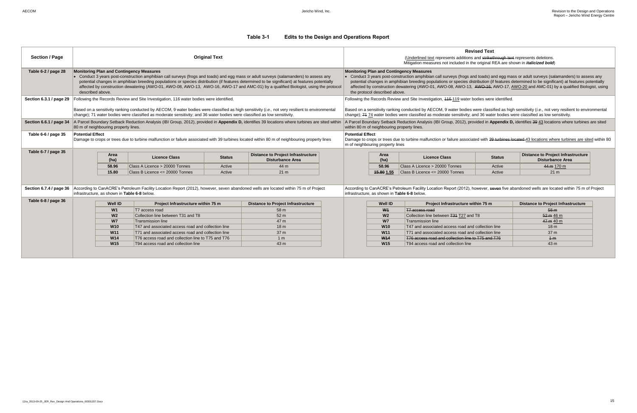| <b>Section / Page</b>   | <b>Original Text</b>                                                                                                                                                                                                                                                                                                                                                                                                                                                                                                                                                                                                                                                                                                                                                                |                |                                                                           |                  |                                                                      |                                                                                                                                                                                                                                                                                                                                                                                                                                                                                                                 | <b>Revised Text</b><br>(Underlined text represents additions and strikethrough text represents deletions.<br>Mitigation measures not included in the original REA are shown in <i>italicized bold</i> ) |                                                                                           |                  |                                                                      |
|-------------------------|-------------------------------------------------------------------------------------------------------------------------------------------------------------------------------------------------------------------------------------------------------------------------------------------------------------------------------------------------------------------------------------------------------------------------------------------------------------------------------------------------------------------------------------------------------------------------------------------------------------------------------------------------------------------------------------------------------------------------------------------------------------------------------------|----------------|---------------------------------------------------------------------------|------------------|----------------------------------------------------------------------|-----------------------------------------------------------------------------------------------------------------------------------------------------------------------------------------------------------------------------------------------------------------------------------------------------------------------------------------------------------------------------------------------------------------------------------------------------------------------------------------------------------------|---------------------------------------------------------------------------------------------------------------------------------------------------------------------------------------------------------|-------------------------------------------------------------------------------------------|------------------|----------------------------------------------------------------------|
| Table 6-2 / page 28     | <b>Monitoring Plan and Contingency Measures</b><br>• Conduct 3 years post-construction amphibian call surveys (frogs and toads) and egg mass or adult surveys (salamanders) to assess any<br>potential changes in amphibian breeding populations or species distribution (if features determined to be significant) at features potentially<br>affected by construction dewatering (AWO-01, AWO-08, AWO-13, AWO-16, AWO-17 and AMC-01) by a qualified Biologist, using the protocol<br>described above.                                                                                                                                                                                                                                                                             |                |                                                                           |                  |                                                                      | <b>Monitoring Plan and Contingency Measures</b><br>• Conduct 3 years post-construction amphibian call surveys (frogs and toads) and egg mass or adult surveys (salamanders) to assess any<br>potential changes in amphibian breeding populations or species distribution (if features determined to be significant) at features potentially<br>affected by construction dewatering (AWO-01, AWO-08, AWO-13, AWO-16, AWO-17, AWO-20 and AMC-01) by a qualified Biologist, using<br>the protocol described above. |                                                                                                                                                                                                         |                                                                                           |                  |                                                                      |
|                         | Section 6.3.1 / page 29   Following the Records Review and Site Investigation, 116 water bodies were identified.<br>Following the Records Review and Site Investigation, 416-119 water bodies were identified.<br>Based on a sensitivity ranking conducted by AECOM, 9 water bodies were classified as high sensitivity (i.e., not very resilient to environmental<br>Based on a sensitivity ranking conducted by AECOM, 9 water bodies were classified as high sensitivity (i.e., not very resilient to environmental<br>change); 71 water bodies were classified as moderate sensitivity; and 36 water bodies were classified as low sensitivity.<br>change); 74 74 water bodies were classified as moderate sensitivity; and 36 water bodies were classified as low sensitivity. |                |                                                                           |                  |                                                                      |                                                                                                                                                                                                                                                                                                                                                                                                                                                                                                                 |                                                                                                                                                                                                         |                                                                                           |                  |                                                                      |
| Section 6.6.1 / page 34 | A Parcel Boundary Setback Reduction Analysis (IBI Group, 2012), provided in Appendix D, identifies 39 locations where turbines are sited within<br>80 m of neighbouring property lines.                                                                                                                                                                                                                                                                                                                                                                                                                                                                                                                                                                                             |                |                                                                           |                  |                                                                      | A Parcel Boundary Setback Reduction Analysis (IBI Group, 2012), provided in Appendix D, identifies 39 43 locations where turbines are sited<br>within 80 m of neighbouring property lines.                                                                                                                                                                                                                                                                                                                      |                                                                                                                                                                                                         |                                                                                           |                  |                                                                      |
| Table 6-6 / page 35     | <b>Potential Effect</b><br><b>Potential Effect</b><br>Damage to crops or trees due to turbine malfunction or failure associated with 39 turbines located within 80 m of neighbouring property lines<br>Damage to crops or trees due to turbine malfunction or failure associated with 39 turbines located 43 locations where turbines are sited within 80<br>m of neighbouring property lines                                                                                                                                                                                                                                                                                                                                                                                       |                |                                                                           |                  |                                                                      |                                                                                                                                                                                                                                                                                                                                                                                                                                                                                                                 |                                                                                                                                                                                                         |                                                                                           |                  |                                                                      |
| Table 6-7 / page 35     |                                                                                                                                                                                                                                                                                                                                                                                                                                                                                                                                                                                                                                                                                                                                                                                     | Area<br>(ha)   | <b>Licence Class</b>                                                      | <b>Status</b>    | <b>Distance to Project Infrastructure</b><br><b>Disturbance Area</b> |                                                                                                                                                                                                                                                                                                                                                                                                                                                                                                                 | Area<br>(ha)                                                                                                                                                                                            | <b>Licence Class</b>                                                                      | <b>Status</b>    | <b>Distance to Project Infrastructure</b><br><b>Disturbance Area</b> |
|                         |                                                                                                                                                                                                                                                                                                                                                                                                                                                                                                                                                                                                                                                                                                                                                                                     | 58.96<br>15.80 | Class A Licence > 20000 Tonnes<br>$ $ Class B Licence $\leq$ 20000 Tonnes | Active<br>Active | 44 m<br>21 <sub>m</sub>                                              |                                                                                                                                                                                                                                                                                                                                                                                                                                                                                                                 | 58.96<br>15.80 1.55                                                                                                                                                                                     | Class A Licence > 20000 Tonnes<br>Class B Licence <= 20000 Tonnes                         | Active<br>Active | 44 m 170 m<br>21 m                                                   |
| Section 6.7.4 / page 36 | According to CanACRE's Petroleum Facility Location Report (2012), however, seven abandoned wells are located within 75 m of Project<br>According to CanACRE's Petroleum Facility Location Report (2012), however, seven five abandoned wells are located within 75 m of Project<br>infrastructure, as shown in Table 6-8 below.<br>infrastructure. as shown in Table 6-8 below.                                                                                                                                                                                                                                                                                                                                                                                                     |                |                                                                           |                  |                                                                      |                                                                                                                                                                                                                                                                                                                                                                                                                                                                                                                 |                                                                                                                                                                                                         |                                                                                           |                  |                                                                      |
| Table 6-8 / page 36     |                                                                                                                                                                                                                                                                                                                                                                                                                                                                                                                                                                                                                                                                                                                                                                                     | <b>Well ID</b> | Project Infrastructure within 75 m                                        |                  | <b>Distance to Project Infrastructure</b>                            |                                                                                                                                                                                                                                                                                                                                                                                                                                                                                                                 | <b>Well ID</b>                                                                                                                                                                                          | Project Infrastructure within 75 m                                                        |                  | <b>Distance to Project Infrastructure</b>                            |
|                         |                                                                                                                                                                                                                                                                                                                                                                                                                                                                                                                                                                                                                                                                                                                                                                                     | W1             | T7 access road                                                            |                  | 58 m                                                                 |                                                                                                                                                                                                                                                                                                                                                                                                                                                                                                                 | W <sub>1</sub>                                                                                                                                                                                          | T7 access road                                                                            |                  | 58 <sub>m</sub>                                                      |
|                         |                                                                                                                                                                                                                                                                                                                                                                                                                                                                                                                                                                                                                                                                                                                                                                                     | W <sub>2</sub> | Collection line between T31 and T8                                        |                  | 52 <sub>m</sub>                                                      |                                                                                                                                                                                                                                                                                                                                                                                                                                                                                                                 | W <sub>2</sub>                                                                                                                                                                                          | Collection line between T31 T27 and T8                                                    |                  | 52 m 46 m                                                            |
|                         |                                                                                                                                                                                                                                                                                                                                                                                                                                                                                                                                                                                                                                                                                                                                                                                     | W <sub>7</sub> | Transmission line                                                         |                  | 47 m                                                                 |                                                                                                                                                                                                                                                                                                                                                                                                                                                                                                                 | <b>W7</b>                                                                                                                                                                                               | Transmission line                                                                         |                  | 47 m 40 m                                                            |
|                         |                                                                                                                                                                                                                                                                                                                                                                                                                                                                                                                                                                                                                                                                                                                                                                                     | <b>W10</b>     | T47 and associated access road and collection line                        |                  | 18 <sub>m</sub>                                                      |                                                                                                                                                                                                                                                                                                                                                                                                                                                                                                                 | <b>W10</b>                                                                                                                                                                                              | T47 and associated access road and collection line                                        |                  | 18 <sub>m</sub>                                                      |
|                         |                                                                                                                                                                                                                                                                                                                                                                                                                                                                                                                                                                                                                                                                                                                                                                                     | <b>W11</b>     | T71 and associated access road and collection line                        |                  | 37 <sub>m</sub>                                                      |                                                                                                                                                                                                                                                                                                                                                                                                                                                                                                                 | <b>W11</b>                                                                                                                                                                                              | T71 and associated access road and collection line                                        |                  | 37 <sub>m</sub>                                                      |
|                         |                                                                                                                                                                                                                                                                                                                                                                                                                                                                                                                                                                                                                                                                                                                                                                                     | <b>W14</b>     | T76 access road and collection line to T75 and T76                        |                  | 1 <sub>m</sub>                                                       |                                                                                                                                                                                                                                                                                                                                                                                                                                                                                                                 | W <sub>14</sub><br><b>W15</b>                                                                                                                                                                           | T76 access road and collection line to T75 and T76<br>T94 access road and collection line |                  | $+m$<br>43 <sub>m</sub>                                              |
|                         | <b>W15</b><br>43 m<br>T94 access road and collection line                                                                                                                                                                                                                                                                                                                                                                                                                                                                                                                                                                                                                                                                                                                           |                |                                                                           |                  |                                                                      |                                                                                                                                                                                                                                                                                                                                                                                                                                                                                                                 |                                                                                                                                                                                                         |                                                                                           |                  |                                                                      |